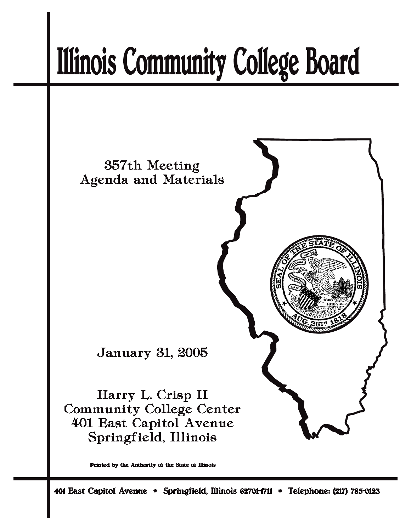# **Illinois Community College Board**



Printed by the Authority of the State of Illinois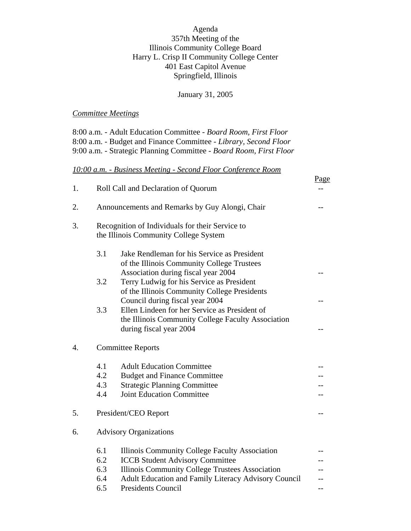Agenda 357th Meeting of the Illinois Community College Board Harry L. Crisp II Community College Center 401 East Capitol Avenue Springfield, Illinois

January 31, 2005

#### *Committee Meetings*

8:00 a.m. - Adult Education Committee - *Board Room, First Floor* 8:00 a.m. - Budget and Finance Committee - *Library, Second Floor* 9:00 a.m. - Strategic Planning Committee - *Board Room, First Floor*

#### *10:00 a.m. - Business Meeting - Second Floor Conference Room*

| 1. |                                                                                          | Roll Call and Declaration of Quorum                                               | Page |  |
|----|------------------------------------------------------------------------------------------|-----------------------------------------------------------------------------------|------|--|
|    |                                                                                          |                                                                                   |      |  |
| 2. |                                                                                          | Announcements and Remarks by Guy Alongi, Chair                                    |      |  |
| 3. | Recognition of Individuals for their Service to<br>the Illinois Community College System |                                                                                   |      |  |
|    |                                                                                          |                                                                                   |      |  |
|    | 3.1                                                                                      | Jake Rendleman for his Service as President                                       |      |  |
|    |                                                                                          | of the Illinois Community College Trustees<br>Association during fiscal year 2004 |      |  |
|    | 3.2                                                                                      | Terry Ludwig for his Service as President                                         |      |  |
|    |                                                                                          | of the Illinois Community College Presidents                                      |      |  |
|    |                                                                                          | Council during fiscal year 2004                                                   |      |  |
|    | 3.3                                                                                      | Ellen Lindeen for her Service as President of                                     |      |  |
|    |                                                                                          | the Illinois Community College Faculty Association                                |      |  |
|    |                                                                                          | during fiscal year 2004                                                           |      |  |
| 4. | <b>Committee Reports</b>                                                                 |                                                                                   |      |  |
|    | 4.1                                                                                      | <b>Adult Education Committee</b>                                                  |      |  |
|    | 4.2                                                                                      | <b>Budget and Finance Committee</b>                                               |      |  |
|    | 4.3                                                                                      | <b>Strategic Planning Committee</b>                                               |      |  |
|    | 4.4                                                                                      | <b>Joint Education Committee</b>                                                  |      |  |
| 5. |                                                                                          | President/CEO Report                                                              |      |  |
| 6. | <b>Advisory Organizations</b>                                                            |                                                                                   |      |  |
|    | 6.1                                                                                      | Illinois Community College Faculty Association                                    |      |  |
|    | 6.2                                                                                      | <b>ICCB Student Advisory Committee</b>                                            |      |  |
|    | 6.3                                                                                      | Illinois Community College Trustees Association                                   |      |  |
|    | 6.4                                                                                      | <b>Adult Education and Family Literacy Advisory Council</b>                       |      |  |
|    | 6.5                                                                                      | <b>Presidents Council</b>                                                         |      |  |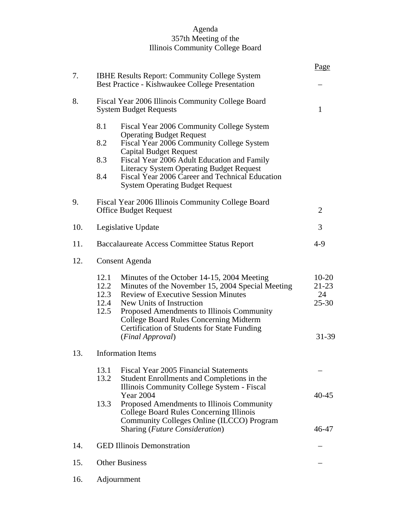#### Agenda 357th Meeting of the Illinois Community College Board

|     |                                                                                                         |                                                                                                                                                                                                                                                                                                                                           | Page                                           |
|-----|---------------------------------------------------------------------------------------------------------|-------------------------------------------------------------------------------------------------------------------------------------------------------------------------------------------------------------------------------------------------------------------------------------------------------------------------------------------|------------------------------------------------|
| 7.  | <b>IBHE Results Report: Community College System</b><br>Best Practice - Kishwaukee College Presentation |                                                                                                                                                                                                                                                                                                                                           |                                                |
| 8.  | Fiscal Year 2006 Illinois Community College Board<br><b>System Budget Requests</b>                      |                                                                                                                                                                                                                                                                                                                                           |                                                |
|     | 8.1                                                                                                     | Fiscal Year 2006 Community College System<br><b>Operating Budget Request</b>                                                                                                                                                                                                                                                              |                                                |
|     | 8.2                                                                                                     | Fiscal Year 2006 Community College System<br><b>Capital Budget Request</b>                                                                                                                                                                                                                                                                |                                                |
|     | 8.3                                                                                                     | Fiscal Year 2006 Adult Education and Family                                                                                                                                                                                                                                                                                               |                                                |
|     | 8.4                                                                                                     | <b>Literacy System Operating Budget Request</b><br>Fiscal Year 2006 Career and Technical Education<br><b>System Operating Budget Request</b>                                                                                                                                                                                              |                                                |
| 9.  |                                                                                                         | Fiscal Year 2006 Illinois Community College Board<br><b>Office Budget Request</b>                                                                                                                                                                                                                                                         | $\overline{2}$                                 |
| 10. |                                                                                                         | Legislative Update                                                                                                                                                                                                                                                                                                                        | 3                                              |
| 11. |                                                                                                         | Baccalaureate Access Committee Status Report                                                                                                                                                                                                                                                                                              | $4-9$                                          |
| 12. | Consent Agenda                                                                                          |                                                                                                                                                                                                                                                                                                                                           |                                                |
|     | 12.1<br>12.2<br>12.3<br>12.4<br>12.5                                                                    | Minutes of the October 14-15, 2004 Meeting<br>Minutes of the November 15, 2004 Special Meeting<br><b>Review of Executive Session Minutes</b><br>New Units of Instruction<br>Proposed Amendments to Illinois Community<br><b>College Board Rules Concerning Midterm</b><br>Certification of Students for State Funding<br>(Final Approval) | $10-20$<br>$21-23$<br>24<br>$25 - 30$<br>31-39 |
| 13. | <b>Information Items</b>                                                                                |                                                                                                                                                                                                                                                                                                                                           |                                                |
|     | 13.1<br>13.2                                                                                            | Fiscal Year 2005 Financial Statements<br>Student Enrollments and Completions in the<br>Illinois Community College System - Fiscal                                                                                                                                                                                                         |                                                |
|     | 13.3                                                                                                    | <b>Year 2004</b><br>Proposed Amendments to Illinois Community<br><b>College Board Rules Concerning Illinois</b><br>Community Colleges Online (ILCCO) Program<br>Sharing (Future Consideration)                                                                                                                                            | 40-45<br>46-47                                 |
| 14. | <b>GED Illinois Demonstration</b>                                                                       |                                                                                                                                                                                                                                                                                                                                           |                                                |
| 15. | <b>Other Business</b>                                                                                   |                                                                                                                                                                                                                                                                                                                                           |                                                |
| 16. | Adjournment                                                                                             |                                                                                                                                                                                                                                                                                                                                           |                                                |
|     |                                                                                                         |                                                                                                                                                                                                                                                                                                                                           |                                                |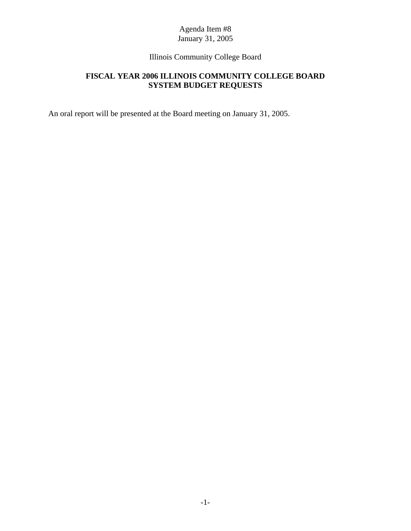# Illinois Community College Board

# **FISCAL YEAR 2006 ILLINOIS COMMUNITY COLLEGE BOARD SYSTEM BUDGET REQUESTS**

An oral report will be presented at the Board meeting on January 31, 2005.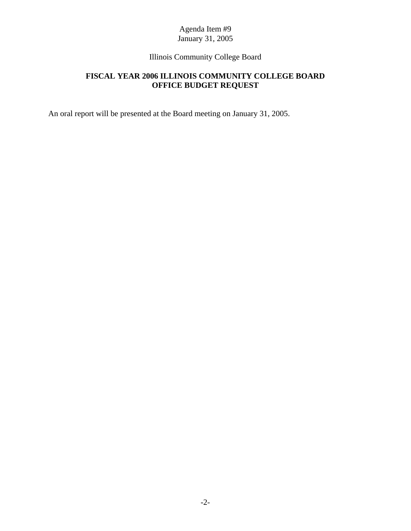# Illinois Community College Board

# **FISCAL YEAR 2006 ILLINOIS COMMUNITY COLLEGE BOARD OFFICE BUDGET REQUEST**

An oral report will be presented at the Board meeting on January 31, 2005.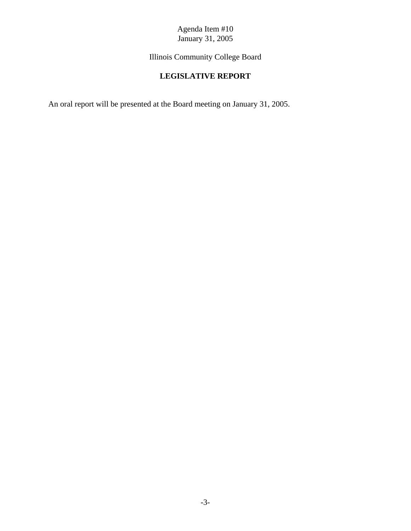Illinois Community College Board

# **LEGISLATIVE REPORT**

An oral report will be presented at the Board meeting on January 31, 2005.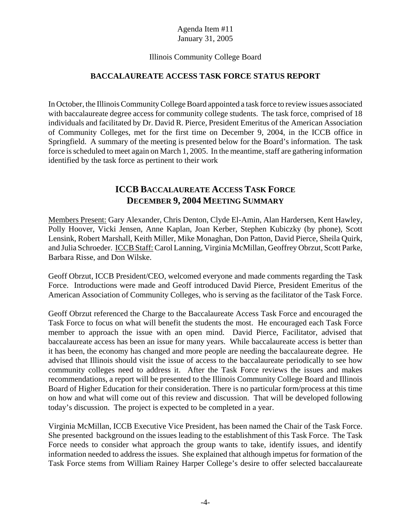#### Illinois Community College Board

## **BACCALAUREATE ACCESS TASK FORCE STATUS REPORT**

In October, the Illinois Community College Board appointed a task force to review issues associated with baccalaureate degree access for community college students. The task force, comprised of 18 individuals and facilitated by Dr. David R. Pierce, President Emeritus of the American Association of Community Colleges, met for the first time on December 9, 2004, in the ICCB office in Springfield. A summary of the meeting is presented below for the Board's information. The task force is scheduled to meet again on March 1, 2005. In the meantime, staff are gathering information identified by the task force as pertinent to their work

# **ICCB BACCALAUREATE ACCESS TASK FORCE DECEMBER 9, 2004 MEETING SUMMARY**

Members Present: Gary Alexander, Chris Denton, Clyde El-Amin, Alan Hardersen, Kent Hawley, Polly Hoover, Vicki Jensen, Anne Kaplan, Joan Kerber, Stephen Kubiczky (by phone), Scott Lensink, Robert Marshall, Keith Miller, Mike Monaghan, Don Patton, David Pierce, Sheila Quirk, and Julia Schroeder. ICCB Staff: Carol Lanning, Virginia McMillan, Geoffrey Obrzut, Scott Parke, Barbara Risse, and Don Wilske.

Geoff Obrzut, ICCB President/CEO, welcomed everyone and made comments regarding the Task Force. Introductions were made and Geoff introduced David Pierce, President Emeritus of the American Association of Community Colleges, who is serving as the facilitator of the Task Force.

Geoff Obrzut referenced the Charge to the Baccalaureate Access Task Force and encouraged the Task Force to focus on what will benefit the students the most. He encouraged each Task Force member to approach the issue with an open mind. David Pierce, Facilitator, advised that baccalaureate access has been an issue for many years. While baccalaureate access is better than it has been, the economy has changed and more people are needing the baccalaureate degree. He advised that Illinois should visit the issue of access to the baccalaureate periodically to see how community colleges need to address it. After the Task Force reviews the issues and makes recommendations, a report will be presented to the Illinois Community College Board and Illinois Board of Higher Education for their consideration. There is no particular form/process at this time on how and what will come out of this review and discussion. That will be developed following today's discussion. The project is expected to be completed in a year.

Virginia McMillan, ICCB Executive Vice President, has been named the Chair of the Task Force. She presented background on the issues leading to the establishment of this Task Force. The Task Force needs to consider what approach the group wants to take, identify issues, and identify information needed to address the issues. She explained that although impetus for formation of the Task Force stems from William Rainey Harper College's desire to offer selected baccalaureate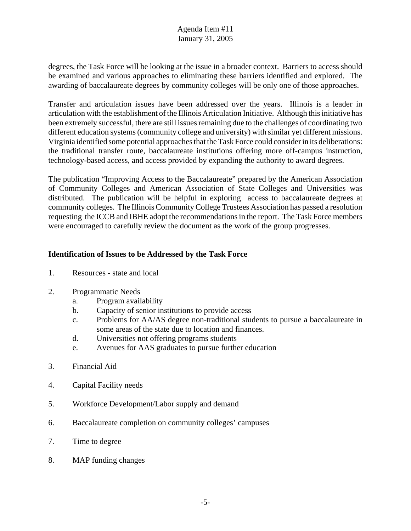degrees, the Task Force will be looking at the issue in a broader context. Barriers to access should be examined and various approaches to eliminating these barriers identified and explored. The awarding of baccalaureate degrees by community colleges will be only one of those approaches.

Transfer and articulation issues have been addressed over the years. Illinois is a leader in articulation with the establishment of the Illinois Articulation Initiative. Although this initiative has been extremely successful, there are still issues remaining due to the challenges of coordinating two different education systems (community college and university) with similar yet different missions. Virginia identified some potential approaches that the Task Force could consider in its deliberations: the traditional transfer route, baccalaureate institutions offering more off-campus instruction, technology-based access, and access provided by expanding the authority to award degrees.

The publication "Improving Access to the Baccalaureate" prepared by the American Association of Community Colleges and American Association of State Colleges and Universities was distributed. The publication will be helpful in exploring access to baccalaureate degrees at community colleges. The Illinois Community College Trustees Association has passed a resolution requesting the ICCB and IBHE adopt the recommendations in the report. The Task Force members were encouraged to carefully review the document as the work of the group progresses.

## **Identification of Issues to be Addressed by the Task Force**

- 1. Resources state and local
- 2. Programmatic Needs
	- a. Program availability
	- b. Capacity of senior institutions to provide access
	- c. Problems for AA/AS degree non-traditional students to pursue a baccalaureate in some areas of the state due to location and finances.
	- d. Universities not offering programs students
	- e. Avenues for AAS graduates to pursue further education
- 3. Financial Aid
- 4. Capital Facility needs
- 5. Workforce Development/Labor supply and demand
- 6. Baccalaureate completion on community colleges' campuses
- 7. Time to degree
- 8. MAP funding changes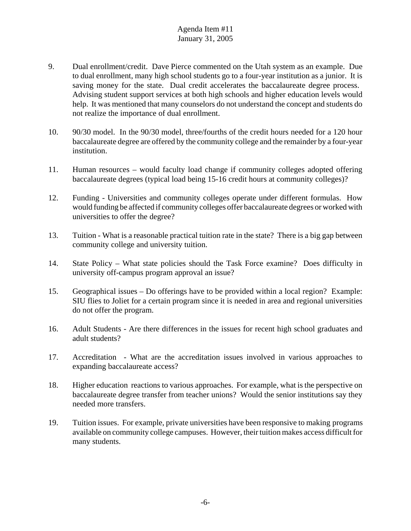- 9. Dual enrollment/credit. Dave Pierce commented on the Utah system as an example. Due to dual enrollment, many high school students go to a four-year institution as a junior. It is saving money for the state. Dual credit accelerates the baccalaureate degree process. Advising student support services at both high schools and higher education levels would help. It was mentioned that many counselors do not understand the concept and students do not realize the importance of dual enrollment.
- 10. 90/30 model. In the 90/30 model, three/fourths of the credit hours needed for a 120 hour baccalaureate degree are offered by the community college and the remainder by a four-year institution.
- 11. Human resources would faculty load change if community colleges adopted offering baccalaureate degrees (typical load being 15-16 credit hours at community colleges)?
- 12. Funding Universities and community colleges operate under different formulas. How would funding be affected if community colleges offer baccalaureate degrees or worked with universities to offer the degree?
- 13. Tuition What is a reasonable practical tuition rate in the state? There is a big gap between community college and university tuition.
- 14. State Policy What state policies should the Task Force examine? Does difficulty in university off-campus program approval an issue?
- 15. Geographical issues Do offerings have to be provided within a local region? Example: SIU flies to Joliet for a certain program since it is needed in area and regional universities do not offer the program.
- 16. Adult Students Are there differences in the issues for recent high school graduates and adult students?
- 17. Accreditation What are the accreditation issues involved in various approaches to expanding baccalaureate access?
- 18. Higher education reactions to various approaches. For example, what is the perspective on baccalaureate degree transfer from teacher unions? Would the senior institutions say they needed more transfers.
- 19. Tuition issues. For example, private universities have been responsive to making programs available on community college campuses. However, their tuition makes access difficult for many students.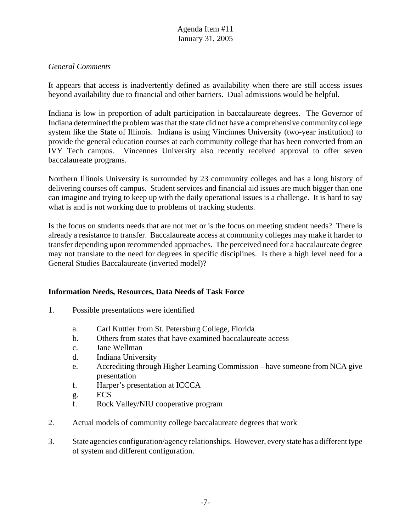#### *General Comments*

It appears that access is inadvertently defined as availability when there are still access issues beyond availability due to financial and other barriers. Dual admissions would be helpful.

Indiana is low in proportion of adult participation in baccalaureate degrees. The Governor of Indiana determined the problem was that the state did not have a comprehensive community college system like the State of Illinois. Indiana is using Vincinnes University (two-year institution) to provide the general education courses at each community college that has been converted from an IVY Tech campus. Vincennes University also recently received approval to offer seven baccalaureate programs.

Northern Illinois University is surrounded by 23 community colleges and has a long history of delivering courses off campus. Student services and financial aid issues are much bigger than one can imagine and trying to keep up with the daily operational issues is a challenge. It is hard to say what is and is not working due to problems of tracking students.

Is the focus on students needs that are not met or is the focus on meeting student needs? There is already a resistance to transfer. Baccalaureate access at community colleges may make it harder to transfer depending upon recommended approaches. The perceived need for a baccalaureate degree may not translate to the need for degrees in specific disciplines. Is there a high level need for a General Studies Baccalaureate (inverted model)?

## **Information Needs, Resources, Data Needs of Task Force**

- 1. Possible presentations were identified
	- a. Carl Kuttler from St. Petersburg College, Florida
	- b. Others from states that have examined baccalaureate access
	- c. Jane Wellman
	- d. Indiana University
	- e. Accrediting through Higher Learning Commission have someone from NCA give presentation
	- f. Harper's presentation at ICCCA
	- g. ECS
	- f. Rock Valley/NIU cooperative program
- 2. Actual models of community college baccalaureate degrees that work
- 3. State agencies configuration/agency relationships. However, every state has a different type of system and different configuration.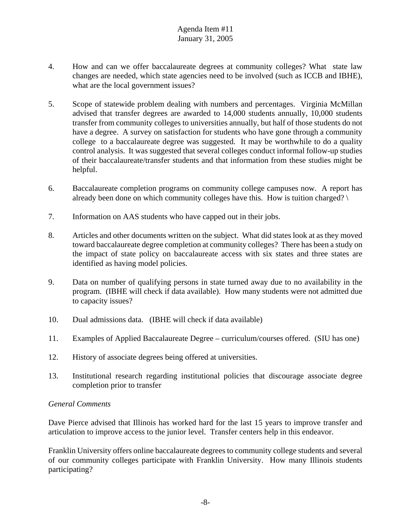- 4. How and can we offer baccalaureate degrees at community colleges? What state law changes are needed, which state agencies need to be involved (such as ICCB and IBHE), what are the local government issues?
- 5. Scope of statewide problem dealing with numbers and percentages. Virginia McMillan advised that transfer degrees are awarded to 14,000 students annually, 10,000 students transfer from community colleges to universities annually, but half of those students do not have a degree. A survey on satisfaction for students who have gone through a community college to a baccalaureate degree was suggested. It may be worthwhile to do a quality control analysis. It was suggested that several colleges conduct informal follow-up studies of their baccalaureate/transfer students and that information from these studies might be helpful.
- 6. Baccalaureate completion programs on community college campuses now. A report has already been done on which community colleges have this. How is tuition charged?  $\setminus$
- 7. Information on AAS students who have capped out in their jobs.
- 8. Articles and other documents written on the subject. What did states look at as they moved toward baccalaureate degree completion at community colleges? There has been a study on the impact of state policy on baccalaureate access with six states and three states are identified as having model policies.
- 9. Data on number of qualifying persons in state turned away due to no availability in the program. (IBHE will check if data available). How many students were not admitted due to capacity issues?
- 10. Dual admissions data. (IBHE will check if data available)
- 11. Examples of Applied Baccalaureate Degree curriculum/courses offered. (SIU has one)
- 12. History of associate degrees being offered at universities.
- 13. Institutional research regarding institutional policies that discourage associate degree completion prior to transfer

## *General Comments*

Dave Pierce advised that Illinois has worked hard for the last 15 years to improve transfer and articulation to improve access to the junior level. Transfer centers help in this endeavor.

Franklin University offers online baccalaureate degrees to community college students and several of our community colleges participate with Franklin University. How many Illinois students participating?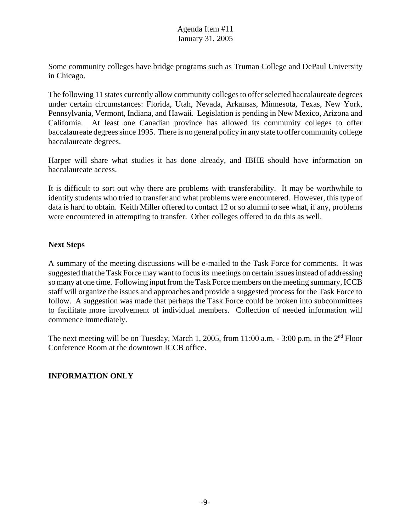Some community colleges have bridge programs such as Truman College and DePaul University in Chicago.

The following 11 states currently allow community colleges to offer selected baccalaureate degrees under certain circumstances: Florida, Utah, Nevada, Arkansas, Minnesota, Texas, New York, Pennsylvania, Vermont, Indiana, and Hawaii. Legislation is pending in New Mexico, Arizona and California. At least one Canadian province has allowed its community colleges to offer baccalaureate degrees since 1995. There is no general policy in any state to offer community college baccalaureate degrees.

Harper will share what studies it has done already, and IBHE should have information on baccalaureate access.

It is difficult to sort out why there are problems with transferability. It may be worthwhile to identify students who tried to transfer and what problems were encountered. However, this type of data is hard to obtain. Keith Miller offered to contact 12 or so alumni to see what, if any, problems were encountered in attempting to transfer. Other colleges offered to do this as well.

# **Next Steps**

A summary of the meeting discussions will be e-mailed to the Task Force for comments. It was suggested that the Task Force may want to focus its meetings on certain issues instead of addressing so many at one time. Following input from the Task Force members on the meeting summary, ICCB staff will organize the issues and approaches and provide a suggested process for the Task Force to follow. A suggestion was made that perhaps the Task Force could be broken into subcommittees to facilitate more involvement of individual members. Collection of needed information will commence immediately.

The next meeting will be on Tuesday, March 1, 2005, from 11:00 a.m. - 3:00 p.m. in the 2<sup>nd</sup> Floor Conference Room at the downtown ICCB office.

# **INFORMATION ONLY**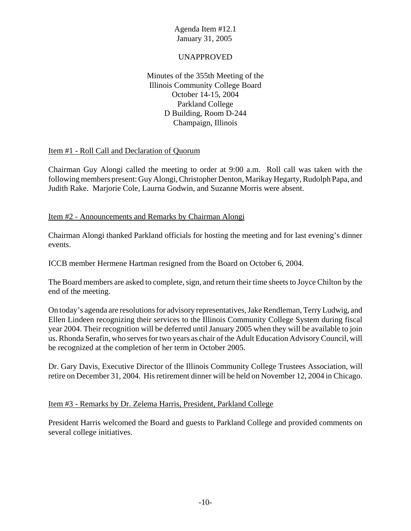## UNAPPROVED

Minutes of the 355th Meeting of the Illinois Community College Board October 14-15, 2004 Parkland College D Building, Room D-244 Champaign, Illinois

## Item #1 - Roll Call and Declaration of Quorum

Chairman Guy Alongi called the meeting to order at 9:00 a.m. Roll call was taken with the following members present: Guy Alongi, Christopher Denton, Marikay Hegarty, Rudolph Papa, and Judith Rake. Marjorie Cole, Laurna Godwin, and Suzanne Morris were absent.

## Item #2 - Announcements and Remarks by Chairman Alongi

Chairman Alongi thanked Parkland officials for hosting the meeting and for last evening's dinner events.

ICCB member Hermene Hartman resigned from the Board on October 6, 2004.

The Board members are asked to complete, sign, and return their time sheets to Joyce Chilton by the end of the meeting.

On today's agenda are resolutions for advisory representatives, Jake Rendleman, Terry Ludwig, and Ellen Lindeen recognizing their services to the Illinois Community College System during fiscal year 2004. Their recognition will be deferred until January 2005 when they will be available to join us. Rhonda Serafin, who serves for two years as chair of the Adult Education Advisory Council, will be recognized at the completion of her term in October 2005.

Dr. Gary Davis, Executive Director of the Illinois Community College Trustees Association, will retire on December 31, 2004. His retirement dinner will be held on November 12, 2004 in Chicago.

## Item #3 - Remarks by Dr. Zelema Harris, President, Parkland College

President Harris welcomed the Board and guests to Parkland College and provided comments on several college initiatives.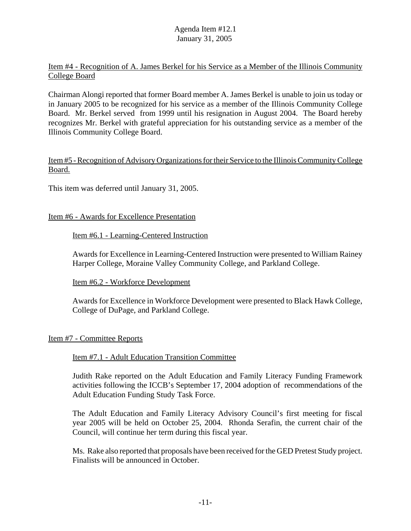## Item #4 - Recognition of A. James Berkel for his Service as a Member of the Illinois Community College Board

Chairman Alongi reported that former Board member A. James Berkel is unable to join us today or in January 2005 to be recognized for his service as a member of the Illinois Community College Board. Mr. Berkel served from 1999 until his resignation in August 2004. The Board hereby recognizes Mr. Berkel with grateful appreciation for his outstanding service as a member of the Illinois Community College Board.

#### Item #5 - Recognition of Advisory Organizations for their Service to the Illinois Community College Board.

This item was deferred until January 31, 2005.

#### Item #6 - Awards for Excellence Presentation

#### Item #6.1 - Learning-Centered Instruction

Awards for Excellence in Learning-Centered Instruction were presented to William Rainey Harper College, Moraine Valley Community College, and Parkland College.

## Item #6.2 - Workforce Development

Awards for Excellence in Workforce Development were presented to Black Hawk College, College of DuPage, and Parkland College.

#### Item #7 - Committee Reports

#### Item #7.1 - Adult Education Transition Committee

Judith Rake reported on the Adult Education and Family Literacy Funding Framework activities following the ICCB's September 17, 2004 adoption of recommendations of the Adult Education Funding Study Task Force.

The Adult Education and Family Literacy Advisory Council's first meeting for fiscal year 2005 will be held on October 25, 2004. Rhonda Serafin, the current chair of the Council, will continue her term during this fiscal year.

Ms. Rake also reported that proposals have been received for the GED Pretest Study project. Finalists will be announced in October.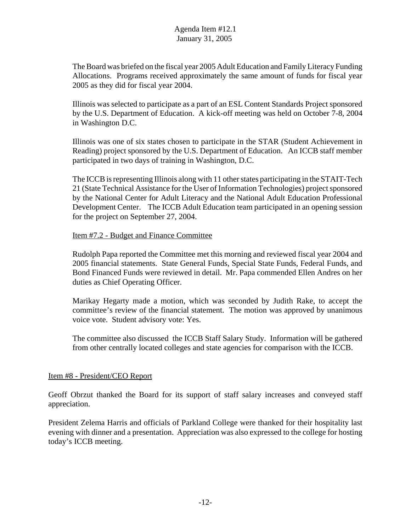The Board was briefed on the fiscal year 2005 Adult Education and Family Literacy Funding Allocations. Programs received approximately the same amount of funds for fiscal year 2005 as they did for fiscal year 2004.

Illinois was selected to participate as a part of an ESL Content Standards Project sponsored by the U.S. Department of Education. A kick-off meeting was held on October 7-8, 2004 in Washington D.C.

Illinois was one of six states chosen to participate in the STAR (Student Achievement in Reading) project sponsored by the U.S. Department of Education. An ICCB staff member participated in two days of training in Washington, D.C.

The ICCB is representing Illinois along with 11 other states participating in the STAIT-Tech 21 (State Technical Assistance for the User of Information Technologies) project sponsored by the National Center for Adult Literacy and the National Adult Education Professional Development Center. The ICCB Adult Education team participated in an opening session for the project on September 27, 2004.

#### Item #7.2 - Budget and Finance Committee

Rudolph Papa reported the Committee met this morning and reviewed fiscal year 2004 and 2005 financial statements. State General Funds, Special State Funds, Federal Funds, and Bond Financed Funds were reviewed in detail. Mr. Papa commended Ellen Andres on her duties as Chief Operating Officer.

Marikay Hegarty made a motion, which was seconded by Judith Rake, to accept the committee's review of the financial statement. The motion was approved by unanimous voice vote. Student advisory vote: Yes.

The committee also discussed the ICCB Staff Salary Study. Information will be gathered from other centrally located colleges and state agencies for comparison with the ICCB.

## Item #8 - President/CEO Report

Geoff Obrzut thanked the Board for its support of staff salary increases and conveyed staff appreciation.

President Zelema Harris and officials of Parkland College were thanked for their hospitality last evening with dinner and a presentation. Appreciation was also expressed to the college for hosting today's ICCB meeting.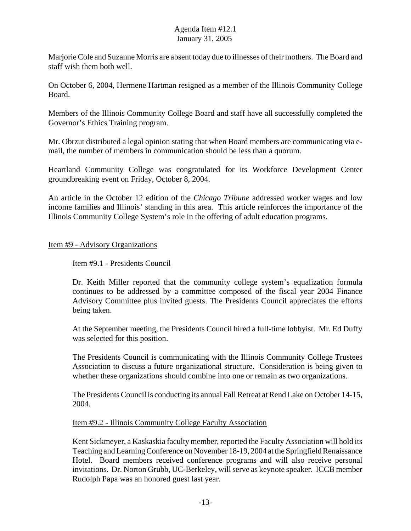Marjorie Cole and Suzanne Morris are absent today due to illnesses of their mothers. The Board and staff wish them both well.

On October 6, 2004, Hermene Hartman resigned as a member of the Illinois Community College Board.

Members of the Illinois Community College Board and staff have all successfully completed the Governor's Ethics Training program.

Mr. Obrzut distributed a legal opinion stating that when Board members are communicating via email, the number of members in communication should be less than a quorum.

Heartland Community College was congratulated for its Workforce Development Center groundbreaking event on Friday, October 8, 2004.

An article in the October 12 edition of the *Chicago Tribune* addressed worker wages and low income families and Illinois' standing in this area. This article reinforces the importance of the Illinois Community College System's role in the offering of adult education programs.

#### Item #9 - Advisory Organizations

#### Item #9.1 - Presidents Council

Dr. Keith Miller reported that the community college system's equalization formula continues to be addressed by a committee composed of the fiscal year 2004 Finance Advisory Committee plus invited guests. The Presidents Council appreciates the efforts being taken.

At the September meeting, the Presidents Council hired a full-time lobbyist. Mr. Ed Duffy was selected for this position.

 The Presidents Council is communicating with the Illinois Community College Trustees Association to discuss a future organizational structure. Consideration is being given to whether these organizations should combine into one or remain as two organizations.

The Presidents Council is conducting its annual Fall Retreat at Rend Lake on October 14-15, 2004.

#### Item #9.2 - Illinois Community College Faculty Association

Kent Sickmeyer, a Kaskaskia faculty member, reported the Faculty Association will hold its Teaching and Learning Conference on November 18-19, 2004 at the Springfield Renaissance Hotel. Board members received conference programs and will also receive personal invitations. Dr. Norton Grubb, UC-Berkeley, will serve as keynote speaker. ICCB member Rudolph Papa was an honored guest last year.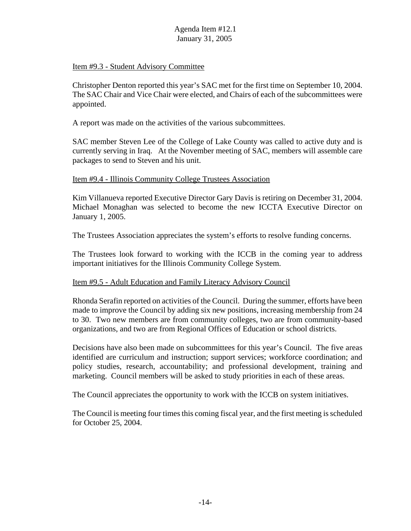#### Item #9.3 - Student Advisory Committee

Christopher Denton reported this year's SAC met for the first time on September 10, 2004. The SAC Chair and Vice Chair were elected, and Chairs of each of the subcommittees were appointed.

A report was made on the activities of the various subcommittees.

SAC member Steven Lee of the College of Lake County was called to active duty and is currently serving in Iraq. At the November meeting of SAC, members will assemble care packages to send to Steven and his unit.

#### Item #9.4 - Illinois Community College Trustees Association

Kim Villanueva reported Executive Director Gary Davis is retiring on December 31, 2004. Michael Monaghan was selected to become the new ICCTA Executive Director on January 1, 2005.

The Trustees Association appreciates the system's efforts to resolve funding concerns.

The Trustees look forward to working with the ICCB in the coming year to address important initiatives for the Illinois Community College System.

## Item #9.5 - Adult Education and Family Literacy Advisory Council

Rhonda Serafin reported on activities of the Council. During the summer, efforts have been made to improve the Council by adding six new positions, increasing membership from 24 to 30. Two new members are from community colleges, two are from community-based organizations, and two are from Regional Offices of Education or school districts.

Decisions have also been made on subcommittees for this year's Council. The five areas identified are curriculum and instruction; support services; workforce coordination; and policy studies, research, accountability; and professional development, training and marketing. Council members will be asked to study priorities in each of these areas.

The Council appreciates the opportunity to work with the ICCB on system initiatives.

The Council is meeting four times this coming fiscal year, and the first meeting is scheduled for October 25, 2004.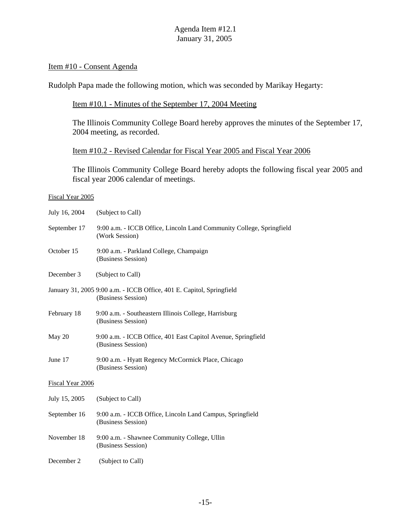#### Item #10 - Consent Agenda

Rudolph Papa made the following motion, which was seconded by Marikay Hegarty:

#### Item #10.1 - Minutes of the September 17, 2004 Meeting

The Illinois Community College Board hereby approves the minutes of the September 17, 2004 meeting, as recorded.

#### Item #10.2 - Revised Calendar for Fiscal Year 2005 and Fiscal Year 2006

The Illinois Community College Board hereby adopts the following fiscal year 2005 and fiscal year 2006 calendar of meetings.

#### Fiscal Year 2005

| July 16, 2004    | (Subject to Call)                                                                           |  |  |  |  |
|------------------|---------------------------------------------------------------------------------------------|--|--|--|--|
| September 17     | 9:00 a.m. - ICCB Office, Lincoln Land Community College, Springfield<br>(Work Session)      |  |  |  |  |
| October 15       | 9:00 a.m. - Parkland College, Champaign<br>(Business Session)                               |  |  |  |  |
| December 3       | (Subject to Call)                                                                           |  |  |  |  |
|                  | January 31, 2005 9:00 a.m. - ICCB Office, 401 E. Capitol, Springfield<br>(Business Session) |  |  |  |  |
| February 18      | 9:00 a.m. - Southeastern Illinois College, Harrisburg<br>(Business Session)                 |  |  |  |  |
| May 20           | 9:00 a.m. - ICCB Office, 401 East Capitol Avenue, Springfield<br>(Business Session)         |  |  |  |  |
| June 17          | 9:00 a.m. - Hyatt Regency McCormick Place, Chicago<br>(Business Session)                    |  |  |  |  |
| Fiscal Year 2006 |                                                                                             |  |  |  |  |
| July 15, 2005    | (Subject to Call)                                                                           |  |  |  |  |
| September 16     | 9:00 a.m. - ICCB Office, Lincoln Land Campus, Springfield<br>(Business Session)             |  |  |  |  |
| November 18      | 9:00 a.m. - Shawnee Community College, Ullin<br>(Business Session)                          |  |  |  |  |
| December 2       | (Subject to Call)                                                                           |  |  |  |  |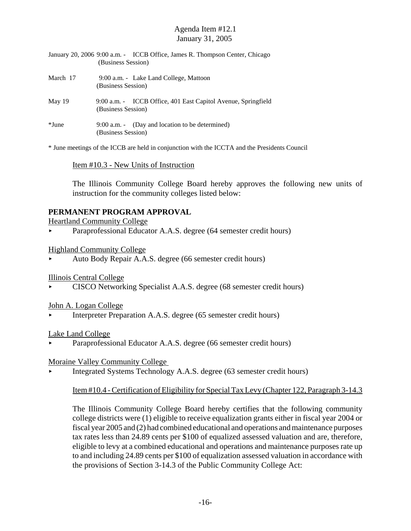- January 20, 2006 9:00 a.m. ICCB Office, James R. Thompson Center, Chicago (Business Session)
- March 17 9:00 a.m. Lake Land College, Mattoon (Business Session)
- May 19 9:00 a.m. ICCB Office, 401 East Capitol Avenue, Springfield (Business Session)
- \*June 9:00 a.m. (Day and location to be determined) (Business Session)

\* June meetings of the ICCB are held in conjunction with the ICCTA and the Presidents Council

#### Item #10.3 - New Units of Instruction

The Illinois Community College Board hereby approves the following new units of instruction for the community colleges listed below:

## **PERMANENT PROGRAM APPROVAL**

Heartland Community College

• Paraprofessional Educator A.A.S. degree (64 semester credit hours)

#### Highland Community College

< Auto Body Repair A.A.S. degree (66 semester credit hours)

Illinois Central College

< CISCO Networking Specialist A.A.S. degree (68 semester credit hours)

#### John A. Logan College

< Interpreter Preparation A.A.S. degree (65 semester credit hours)

#### Lake Land College

Paraprofessional Educator A.A.S. degree (66 semester credit hours)

#### Moraine Valley Community College

< Integrated Systems Technology A.A.S. degree (63 semester credit hours)

#### Item #10.4 - Certification of Eligibility for Special Tax Levy (Chapter 122, Paragraph 3-14.3

The Illinois Community College Board hereby certifies that the following community college districts were (1) eligible to receive equalization grants either in fiscal year 2004 or fiscal year 2005 and (2) had combined educational and operations and maintenance purposes tax rates less than 24.89 cents per \$100 of equalized assessed valuation and are, therefore, eligible to levy at a combined educational and operations and maintenance purposes rate up to and including 24.89 cents per \$100 of equalization assessed valuation in accordance with the provisions of Section 3-14.3 of the Public Community College Act: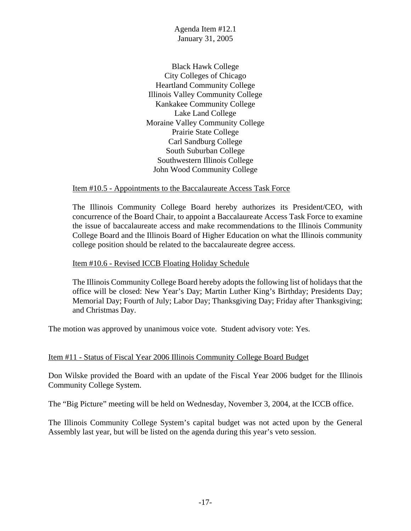Black Hawk College City Colleges of Chicago Heartland Community College Illinois Valley Community College Kankakee Community College Lake Land College Moraine Valley Community College Prairie State College Carl Sandburg College South Suburban College Southwestern Illinois College John Wood Community College

Item #10.5 - Appointments to the Baccalaureate Access Task Force

The Illinois Community College Board hereby authorizes its President/CEO, with concurrence of the Board Chair, to appoint a Baccalaureate Access Task Force to examine the issue of baccalaureate access and make recommendations to the Illinois Community College Board and the Illinois Board of Higher Education on what the Illinois community college position should be related to the baccalaureate degree access.

Item #10.6 - Revised ICCB Floating Holiday Schedule

The Illinois Community College Board hereby adopts the following list of holidays that the office will be closed: New Year's Day; Martin Luther King's Birthday; Presidents Day; Memorial Day; Fourth of July; Labor Day; Thanksgiving Day; Friday after Thanksgiving; and Christmas Day.

The motion was approved by unanimous voice vote. Student advisory vote: Yes.

#### Item #11 - Status of Fiscal Year 2006 Illinois Community College Board Budget

Don Wilske provided the Board with an update of the Fiscal Year 2006 budget for the Illinois Community College System.

The "Big Picture" meeting will be held on Wednesday, November 3, 2004, at the ICCB office.

The Illinois Community College System's capital budget was not acted upon by the General Assembly last year, but will be listed on the agenda during this year's veto session.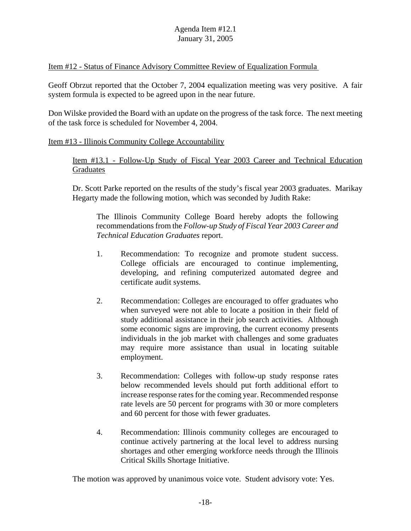#### Item #12 - Status of Finance Advisory Committee Review of Equalization Formula

Geoff Obrzut reported that the October 7, 2004 equalization meeting was very positive. A fair system formula is expected to be agreed upon in the near future.

Don Wilske provided the Board with an update on the progress of the task force. The next meeting of the task force is scheduled for November 4, 2004.

#### Item #13 - Illinois Community College Accountability

Item #13.1 - Follow-Up Study of Fiscal Year 2003 Career and Technical Education Graduates

Dr. Scott Parke reported on the results of the study's fiscal year 2003 graduates. Marikay Hegarty made the following motion, which was seconded by Judith Rake:

The Illinois Community College Board hereby adopts the following recommendations from the *Follow-up Study of Fiscal Year 2003 Career and Technical Education Graduates* report.

- 1. Recommendation: To recognize and promote student success. College officials are encouraged to continue implementing, developing, and refining computerized automated degree and certificate audit systems.
- 2. Recommendation: Colleges are encouraged to offer graduates who when surveyed were not able to locate a position in their field of study additional assistance in their job search activities. Although some economic signs are improving, the current economy presents individuals in the job market with challenges and some graduates may require more assistance than usual in locating suitable employment.
- 3. Recommendation: Colleges with follow-up study response rates below recommended levels should put forth additional effort to increase response rates for the coming year. Recommended response rate levels are 50 percent for programs with 30 or more completers and 60 percent for those with fewer graduates.
- 4. Recommendation: Illinois community colleges are encouraged to continue actively partnering at the local level to address nursing shortages and other emerging workforce needs through the Illinois Critical Skills Shortage Initiative.

The motion was approved by unanimous voice vote. Student advisory vote: Yes.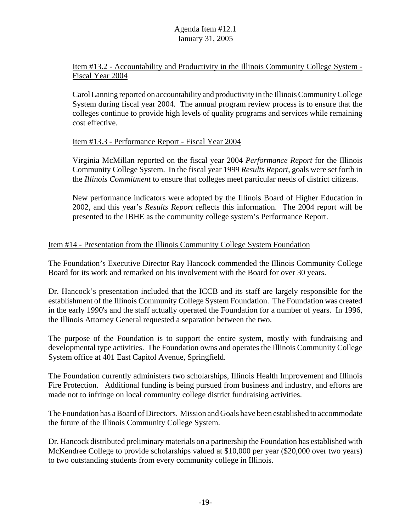# Item #13.2 - Accountability and Productivity in the Illinois Community College System - Fiscal Year 2004

Carol Lanning reported on accountability and productivity in the Illinois Community College System during fiscal year 2004. The annual program review process is to ensure that the colleges continue to provide high levels of quality programs and services while remaining cost effective.

## Item #13.3 - Performance Report - Fiscal Year 2004

Virginia McMillan reported on the fiscal year 2004 *Performance Report* for the Illinois Community College System. In the fiscal year 1999 *Results Report*, goals were set forth in the *Illinois Commitment* to ensure that colleges meet particular needs of district citizens.

New performance indicators were adopted by the Illinois Board of Higher Education in 2002, and this year's *Results Report* reflects this information. The 2004 report will be presented to the IBHE as the community college system's Performance Report.

## Item #14 - Presentation from the Illinois Community College System Foundation

The Foundation's Executive Director Ray Hancock commended the Illinois Community College Board for its work and remarked on his involvement with the Board for over 30 years.

Dr. Hancock's presentation included that the ICCB and its staff are largely responsible for the establishment of the Illinois Community College System Foundation. The Foundation was created in the early 1990's and the staff actually operated the Foundation for a number of years. In 1996, the Illinois Attorney General requested a separation between the two.

The purpose of the Foundation is to support the entire system, mostly with fundraising and developmental type activities. The Foundation owns and operates the Illinois Community College System office at 401 East Capitol Avenue, Springfield.

The Foundation currently administers two scholarships, Illinois Health Improvement and Illinois Fire Protection. Additional funding is being pursued from business and industry, and efforts are made not to infringe on local community college district fundraising activities.

The Foundation has a Board of Directors. Mission and Goals have been established to accommodate the future of the Illinois Community College System.

Dr. Hancock distributed preliminary materials on a partnership the Foundation has established with McKendree College to provide scholarships valued at \$10,000 per year (\$20,000 over two years) to two outstanding students from every community college in Illinois.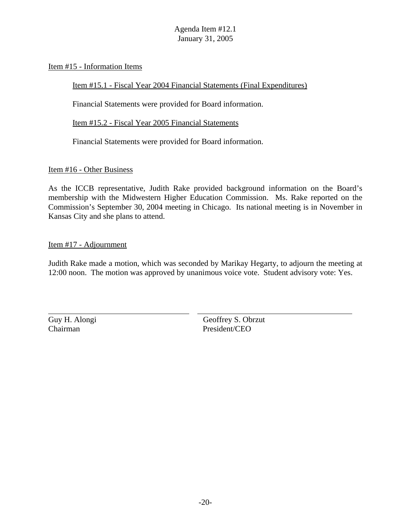#### Item #15 - Information Items

Item #15.1 - Fiscal Year 2004 Financial Statements (Final Expenditures)

Financial Statements were provided for Board information.

Item #15.2 - Fiscal Year 2005 Financial Statements

Financial Statements were provided for Board information.

Item #16 - Other Business

As the ICCB representative, Judith Rake provided background information on the Board's membership with the Midwestern Higher Education Commission. Ms. Rake reported on the Commission's September 30, 2004 meeting in Chicago. Its national meeting is in November in Kansas City and she plans to attend.

#### Item #17 - Adjournment

Judith Rake made a motion, which was seconded by Marikay Hegarty, to adjourn the meeting at 12:00 noon. The motion was approved by unanimous voice vote. Student advisory vote: Yes.

 $\overline{a}$ 

Guy H. Alongi Geoffrey S. Obrzut Chairman President/CEO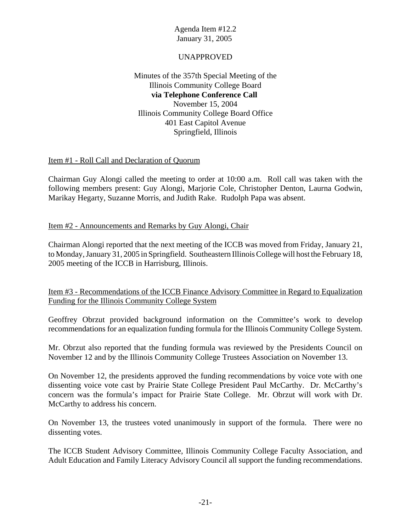## UNAPPROVED

Minutes of the 357th Special Meeting of the Illinois Community College Board **via Telephone Conference Call**  November 15, 2004 Illinois Community College Board Office 401 East Capitol Avenue Springfield, Illinois

## Item #1 - Roll Call and Declaration of Quorum

Chairman Guy Alongi called the meeting to order at 10:00 a.m. Roll call was taken with the following members present: Guy Alongi, Marjorie Cole, Christopher Denton, Laurna Godwin, Marikay Hegarty, Suzanne Morris, and Judith Rake. Rudolph Papa was absent.

#### Item #2 - Announcements and Remarks by Guy Alongi, Chair

Chairman Alongi reported that the next meeting of the ICCB was moved from Friday, January 21, to Monday, January 31, 2005 in Springfield. Southeastern Illinois College will host the February 18, 2005 meeting of the ICCB in Harrisburg, Illinois.

## Item #3 - Recommendations of the ICCB Finance Advisory Committee in Regard to Equalization Funding for the Illinois Community College System

Geoffrey Obrzut provided background information on the Committee's work to develop recommendations for an equalization funding formula for the Illinois Community College System.

Mr. Obrzut also reported that the funding formula was reviewed by the Presidents Council on November 12 and by the Illinois Community College Trustees Association on November 13.

On November 12, the presidents approved the funding recommendations by voice vote with one dissenting voice vote cast by Prairie State College President Paul McCarthy. Dr. McCarthy's concern was the formula's impact for Prairie State College. Mr. Obrzut will work with Dr. McCarthy to address his concern.

On November 13, the trustees voted unanimously in support of the formula. There were no dissenting votes.

The ICCB Student Advisory Committee, Illinois Community College Faculty Association, and Adult Education and Family Literacy Advisory Council all support the funding recommendations.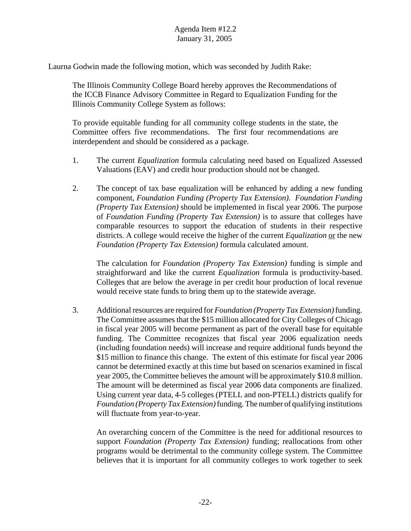Laurna Godwin made the following motion, which was seconded by Judith Rake:

 The Illinois Community College Board hereby approves the Recommendations of the ICCB Finance Advisory Committee in Regard to Equalization Funding for the Illinois Community College System as follows:

To provide equitable funding for all community college students in the state, the Committee offers five recommendations. The first four recommendations are interdependent and should be considered as a package.

- 1. The current *Equalization* formula calculating need based on Equalized Assessed Valuations (EAV) and credit hour production should not be changed.
- 2. The concept of tax base equalization will be enhanced by adding a new funding component, *Foundation Funding (Property Tax Extension). Foundation Funding (Property Tax Extension)* should be implemented in fiscal year 2006. The purpose of *Foundation Funding (Property Tax Extension)* is to assure that colleges have comparable resources to support the education of students in their respective districts. A college would receive the higher of the current *Equalization* or the new *Foundation (Property Tax Extension)* formula calculated amount.

The calculation for *Foundation (Property Tax Extension)* funding is simple and straightforward and like the current *Equalization* formula is productivity-based. Colleges that are below the average in per credit hour production of local revenue would receive state funds to bring them up to the statewide average.

3. Additional resources are required for *Foundation (Property Tax Extension)* funding. The Committee assumes that the \$15 million allocated for City Colleges of Chicago in fiscal year 2005 will become permanent as part of the overall base for equitable funding. The Committee recognizes that fiscal year 2006 equalization needs (including foundation needs) will increase and require additional funds beyond the \$15 million to finance this change. The extent of this estimate for fiscal year 2006 cannot be determined exactly at this time but based on scenarios examined in fiscal year 2005, the Committee believes the amount will be approximately \$10.8 million. The amount will be determined as fiscal year 2006 data components are finalized. Using current year data, 4-5 colleges (PTELL and non-PTELL) districts qualify for *Foundation (Property Tax Extension)* funding*.* The number of qualifying institutions will fluctuate from year-to-year.

An overarching concern of the Committee is the need for additional resources to support *Foundation (Property Tax Extension)* funding; reallocations from other programs would be detrimental to the community college system. The Committee believes that it is important for all community colleges to work together to seek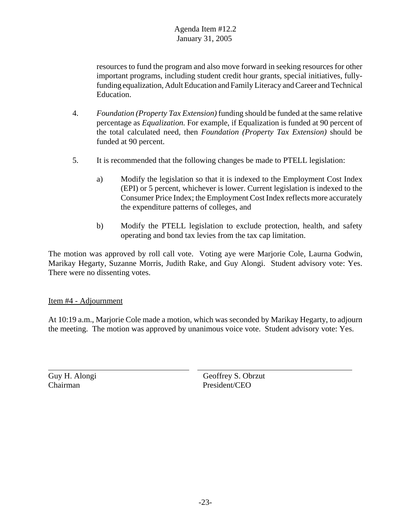resources to fund the program and also move forward in seeking resources for other important programs, including student credit hour grants, special initiatives, fullyfunding equalization, Adult Education and Family Literacy and Career and Technical Education.

- 4. *Foundation (Property Tax Extension)* funding should be funded at the same relative percentage as *Equalization.* For example, if Equalization is funded at 90 percent of the total calculated need, then *Foundation (Property Tax Extension)* should be funded at 90 percent.
- 5. It is recommended that the following changes be made to PTELL legislation:
	- a) Modify the legislation so that it is indexed to the Employment Cost Index (EPI) or 5 percent, whichever is lower. Current legislation is indexed to the Consumer Price Index; the Employment Cost Index reflects more accurately the expenditure patterns of colleges, and
	- b) Modify the PTELL legislation to exclude protection, health, and safety operating and bond tax levies from the tax cap limitation.

The motion was approved by roll call vote. Voting aye were Marjorie Cole, Laurna Godwin, Marikay Hegarty, Suzanne Morris, Judith Rake, and Guy Alongi. Student advisory vote: Yes. There were no dissenting votes.

## Item #4 - Adjournment

At 10:19 a.m., Marjorie Cole made a motion, which was seconded by Marikay Hegarty, to adjourn the meeting. The motion was approved by unanimous voice vote. Student advisory vote: Yes.

 $\overline{a}$ 

Guy H. Alongi Geoffrey S. Obrzut Chairman President/CEO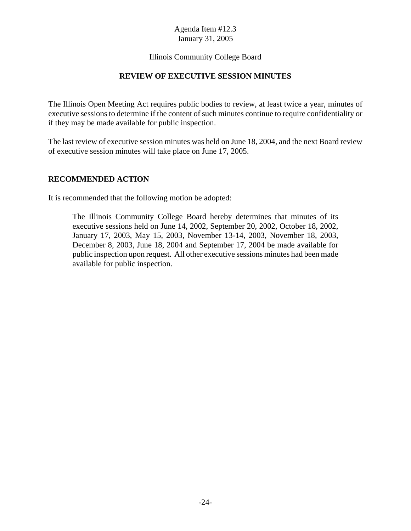## Illinois Community College Board

#### **REVIEW OF EXECUTIVE SESSION MINUTES**

The Illinois Open Meeting Act requires public bodies to review, at least twice a year, minutes of executive sessions to determine if the content of such minutes continue to require confidentiality or if they may be made available for public inspection.

The last review of executive session minutes was held on June 18, 2004, and the next Board review of executive session minutes will take place on June 17, 2005.

#### **RECOMMENDED ACTION**

It is recommended that the following motion be adopted:

The Illinois Community College Board hereby determines that minutes of its executive sessions held on June 14, 2002, September 20, 2002, October 18, 2002, January 17, 2003, May 15, 2003, November 13-14, 2003, November 18, 2003, December 8, 2003, June 18, 2004 and September 17, 2004 be made available for public inspection upon request. All other executive sessions minutes had been made available for public inspection.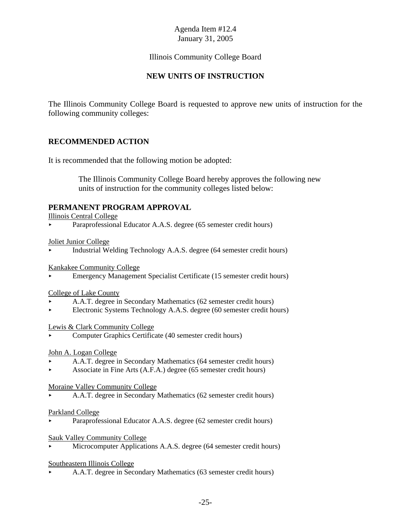# Illinois Community College Board

# **NEW UNITS OF INSTRUCTION**

The Illinois Community College Board is requested to approve new units of instruction for the following community colleges:

## **RECOMMENDED ACTION**

It is recommended that the following motion be adopted:

 The Illinois Community College Board hereby approves the following new units of instruction for the community colleges listed below:

## **PERMANENT PROGRAM APPROVAL**

Illinois Central College

Paraprofessional Educator A.A.S. degree (65 semester credit hours)

Joliet Junior College

< Industrial Welding Technology A.A.S. degree (64 semester credit hours)

Kankakee Community College

< Emergency Management Specialist Certificate (15 semester credit hours)

#### College of Lake County

- < A.A.T. degree in Secondary Mathematics (62 semester credit hours)
- < Electronic Systems Technology A.A.S. degree (60 semester credit hours)

#### Lewis & Clark Community College

< Computer Graphics Certificate (40 semester credit hours)

John A. Logan College

- < A.A.T. degree in Secondary Mathematics (64 semester credit hours)
- < Associate in Fine Arts (A.F.A.) degree (65 semester credit hours)

Moraine Valley Community College

< A.A.T. degree in Secondary Mathematics (62 semester credit hours)

#### Parkland College

Paraprofessional Educator A.A.S. degree (62 semester credit hours)

#### Sauk Valley Community College

Microcomputer Applications A.A.S. degree (64 semester credit hours)

#### Southeastern Illinois College

< A.A.T. degree in Secondary Mathematics (63 semester credit hours)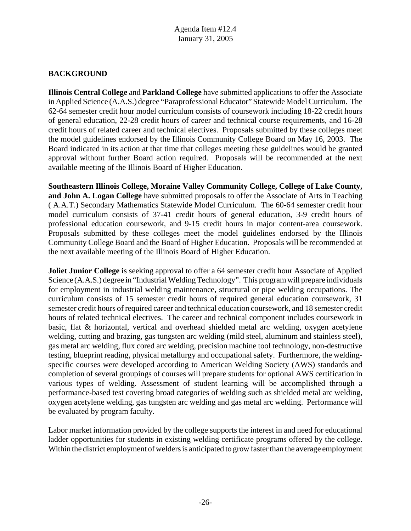# **BACKGROUND**

**Illinois Central College** and **Parkland College** have submitted applications to offer the Associate in Applied Science (A.A.S.) degree "Paraprofessional Educator" Statewide Model Curriculum. The 62-64 semester credit hour model curriculum consists of coursework including 18-22 credit hours of general education, 22-28 credit hours of career and technical course requirements, and 16-28 credit hours of related career and technical electives. Proposals submitted by these colleges meet the model guidelines endorsed by the Illinois Community College Board on May 16, 2003. The Board indicated in its action at that time that colleges meeting these guidelines would be granted approval without further Board action required. Proposals will be recommended at the next available meeting of the Illinois Board of Higher Education.

**Southeastern Illinois College, Moraine Valley Community College, College of Lake County, and John A. Logan College** have submitted proposals to offer the Associate of Arts in Teaching ( A.A.T.) Secondary Mathematics Statewide Model Curriculum. The 60-64 semester credit hour model curriculum consists of 37-41 credit hours of general education, 3-9 credit hours of professional education coursework, and 9-15 credit hours in major content-area coursework. Proposals submitted by these colleges meet the model guidelines endorsed by the Illinois Community College Board and the Board of Higher Education. Proposals will be recommended at the next available meeting of the Illinois Board of Higher Education.

**Joliet Junior College** is seeking approval to offer a 64 semester credit hour Associate of Applied Science (A.A.S.) degree in "Industrial Welding Technology". This program will prepare individuals for employment in industrial welding maintenance, structural or pipe welding occupations. The curriculum consists of 15 semester credit hours of required general education coursework, 31 semester credit hours of required career and technical education coursework, and 18 semester credit hours of related technical electives. The career and technical component includes coursework in basic, flat & horizontal, vertical and overhead shielded metal arc welding, oxygen acetylene welding, cutting and brazing, gas tungsten arc welding (mild steel, aluminum and stainless steel), gas metal arc welding, flux cored arc welding, precision machine tool technology, non-destructive testing, blueprint reading, physical metallurgy and occupational safety. Furthermore, the weldingspecific courses were developed according to American Welding Society (AWS) standards and completion of several groupings of courses will prepare students for optional AWS certification in various types of welding. Assessment of student learning will be accomplished through a performance-based test covering broad categories of welding such as shielded metal arc welding, oxygen acetylene welding, gas tungsten arc welding and gas metal arc welding. Performance will be evaluated by program faculty.

Labor market information provided by the college supports the interest in and need for educational ladder opportunities for students in existing welding certificate programs offered by the college. Within the district employment of welders is anticipated to grow faster than the average employment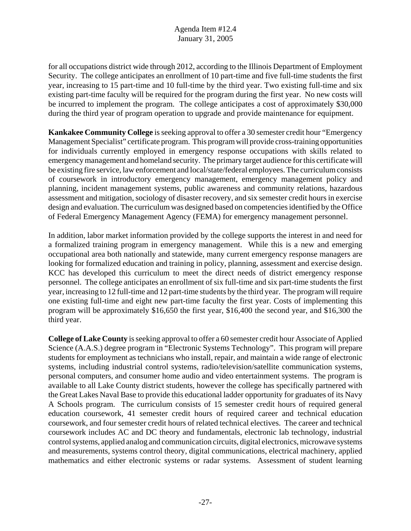for all occupations district wide through 2012, according to the Illinois Department of Employment Security. The college anticipates an enrollment of 10 part-time and five full-time students the first year, increasing to 15 part-time and 10 full-time by the third year. Two existing full-time and six existing part-time faculty will be required for the program during the first year. No new costs will be incurred to implement the program. The college anticipates a cost of approximately \$30,000 during the third year of program operation to upgrade and provide maintenance for equipment.

**Kankakee Community College** is seeking approval to offer a 30 semester credit hour "Emergency Management Specialist" certificate program. This program will provide cross-training opportunities for individuals currently employed in emergency response occupations with skills related to emergency management and homeland security. The primary target audience for this certificate will be existing fire service, law enforcement and local/state/federal employees. The curriculum consists of coursework in introductory emergency management, emergency management policy and planning, incident management systems, public awareness and community relations, hazardous assessment and mitigation, sociology of disaster recovery, and six semester credit hours in exercise design and evaluation. The curriculum was designed based on competencies identified by the Office of Federal Emergency Management Agency (FEMA) for emergency management personnel.

In addition, labor market information provided by the college supports the interest in and need for a formalized training program in emergency management. While this is a new and emerging occupational area both nationally and statewide, many current emergency response managers are looking for formalized education and training in policy, planning, assessment and exercise design. KCC has developed this curriculum to meet the direct needs of district emergency response personnel. The college anticipates an enrollment of six full-time and six part-time students the first year, increasing to 12 full-time and 12 part-time students by the third year. The program will require one existing full-time and eight new part-time faculty the first year. Costs of implementing this program will be approximately \$16,650 the first year, \$16,400 the second year, and \$16,300 the third year.

**College of Lake County** is seeking approval to offer a 60 semester credit hour Associate of Applied Science (A.A.S.) degree program in "Electronic Systems Technology". This program will prepare students for employment as technicians who install, repair, and maintain a wide range of electronic systems, including industrial control systems, radio/television/satellite communication systems, personal computers, and consumer home audio and video entertainment systems. The program is available to all Lake County district students, however the college has specifically partnered with the Great Lakes Naval Base to provide this educational ladder opportunity for graduates of its Navy A Schools program. The curriculum consists of 15 semester credit hours of required general education coursework, 41 semester credit hours of required career and technical education coursework, and four semester credit hours of related technical electives. The career and technical coursework includes AC and DC theory and fundamentals, electronic lab technology, industrial control systems, applied analog and communication circuits, digital electronics, microwave systems and measurements, systems control theory, digital communications, electrical machinery, applied mathematics and either electronic systems or radar systems. Assessment of student learning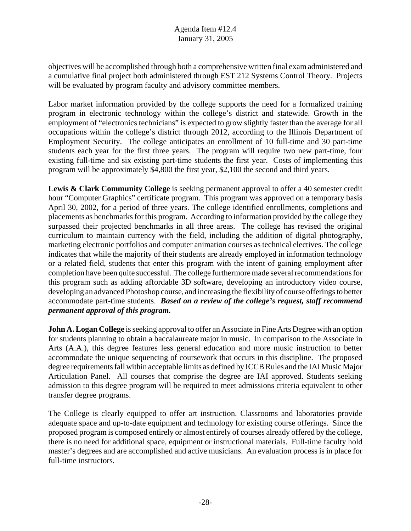objectives will be accomplished through both a comprehensive written final exam administered and a cumulative final project both administered through EST 212 Systems Control Theory. Projects will be evaluated by program faculty and advisory committee members.

Labor market information provided by the college supports the need for a formalized training program in electronic technology within the college's district and statewide. Growth in the employment of "electronics technicians" is expected to grow slightly faster than the average for all occupations within the college's district through 2012, according to the Illinois Department of Employment Security. The college anticipates an enrollment of 10 full-time and 30 part-time students each year for the first three years. The program will require two new part-time, four existing full-time and six existing part-time students the first year. Costs of implementing this program will be approximately \$4,800 the first year, \$2,100 the second and third years.

Lewis & Clark Community College is seeking permanent approval to offer a 40 semester credit hour "Computer Graphics" certificate program. This program was approved on a temporary basis April 30, 2002, for a period of three years. The college identified enrollments, completions and placements as benchmarks for this program. According to information provided by the college they surpassed their projected benchmarks in all three areas. The college has revised the original curriculum to maintain currency with the field, including the addition of digital photography, marketing electronic portfolios and computer animation courses as technical electives. The college indicates that while the majority of their students are already employed in information technology or a related field, students that enter this program with the intent of gaining employment after completion have been quite successful. The college furthermore made several recommendations for this program such as adding affordable 3D software, developing an introductory video course, developing an advanced Photoshop course, and increasing the flexibility of course offerings to better accommodate part-time students. *Based on a review of the college's request, staff recommend permanent approval of this program.*

**John A. Logan College** is seeking approval to offer an Associate in Fine Arts Degree with an option for students planning to obtain a baccalaureate major in music. In comparison to the Associate in Arts (A.A.), this degree features less general education and more music instruction to better accommodate the unique sequencing of coursework that occurs in this discipline. The proposed degree requirements fall within acceptable limits as defined by ICCB Rules and the IAI Music Major Articulation Panel. All courses that comprise the degree are IAI approved. Students seeking admission to this degree program will be required to meet admissions criteria equivalent to other transfer degree programs.

The College is clearly equipped to offer art instruction. Classrooms and laboratories provide adequate space and up-to-date equipment and technology for existing course offerings. Since the proposed program is composed entirely or almost entirely of courses already offered by the college, there is no need for additional space, equipment or instructional materials. Full-time faculty hold master's degrees and are accomplished and active musicians. An evaluation process is in place for full-time instructors.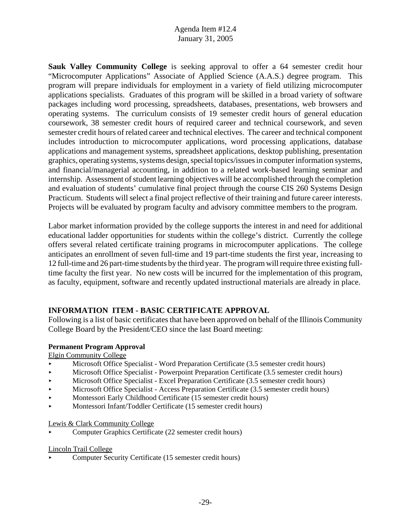**Sauk Valley Community College** is seeking approval to offer a 64 semester credit hour "Microcomputer Applications" Associate of Applied Science (A.A.S.) degree program. This program will prepare individuals for employment in a variety of field utilizing microcomputer applications specialists. Graduates of this program will be skilled in a broad variety of software packages including word processing, spreadsheets, databases, presentations, web browsers and operating systems. The curriculum consists of 19 semester credit hours of general education coursework, 38 semester credit hours of required career and technical coursework, and seven semester credit hours of related career and technical electives. The career and technical component includes introduction to microcomputer applications, word processing applications, database applications and management systems, spreadsheet applications, desktop publishing, presentation graphics, operating systems, systems design, special topics/issues in computer information systems, and financial/managerial accounting, in addition to a related work-based learning seminar and internship. Assessment of student learning objectives will be accomplished through the completion and evaluation of students' cumulative final project through the course CIS 260 Systems Design Practicum. Students will select a final project reflective of their training and future career interests. Projects will be evaluated by program faculty and advisory committee members to the program.

Labor market information provided by the college supports the interest in and need for additional educational ladder opportunities for students within the college's district. Currently the college offers several related certificate training programs in microcomputer applications. The college anticipates an enrollment of seven full-time and 19 part-time students the first year, increasing to 12 full-time and 26 part-time students by the third year. The program will require three existing fulltime faculty the first year. No new costs will be incurred for the implementation of this program, as faculty, equipment, software and recently updated instructional materials are already in place.

# **INFORMATION ITEM - BASIC CERTIFICATE APPROVAL**

Following is a list of basic certificates that have been approved on behalf of the Illinois Community College Board by the President/CEO since the last Board meeting:

#### **Permanent Program Approval**

Elgin Community College

- **Microsoft Office Specialist Word Preparation Certificate (3.5 semester credit hours)**
- Microsoft Office Specialist Powerpoint Preparation Certificate (3.5 semester credit hours)
- $\blacktriangleright$  Microsoft Office Specialist Excel Preparation Certificate (3.5 semester credit hours)
- Microsoft Office Specialist Access Preparation Certificate (3.5 semester credit hours)
- **Montessori Early Childhood Certificate (15 semester credit hours)**
- < Montessori Infant/Toddler Certificate (15 semester credit hours)

Lewis & Clark Community College

< Computer Graphics Certificate (22 semester credit hours)

#### Lincoln Trail College

< Computer Security Certificate (15 semester credit hours)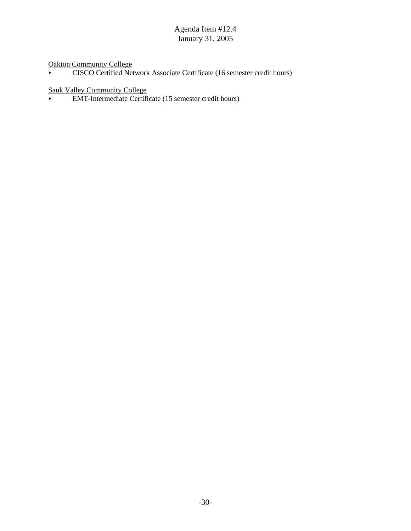Oakton Community College

• CISCO Certified Network Associate Certificate (16 semester credit hours)

Sauk Valley Community College

< EMT-Intermediate Certificate (15 semester credit hours)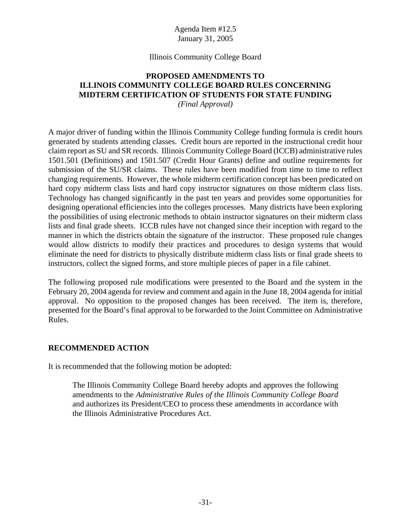#### Illinois Community College Board

# **PROPOSED AMENDMENTS TO ILLINOIS COMMUNITY COLLEGE BOARD RULES CONCERNING MIDTERM CERTIFICATION OF STUDENTS FOR STATE FUNDING**

*(Final Approval)*

A major driver of funding within the Illinois Community College funding formula is credit hours generated by students attending classes. Credit hours are reported in the instructional credit hour claim report as SU and SR records. Illinois Community College Board (ICCB) administrative rules 1501.501 (Definitions) and 1501.507 (Credit Hour Grants) define and outline requirements for submission of the SU/SR claims. These rules have been modified from time to time to reflect changing requirements. However, the whole midterm certification concept has been predicated on hard copy midterm class lists and hard copy instructor signatures on those midterm class lists. Technology has changed significantly in the past ten years and provides some opportunities for designing operational efficiencies into the colleges processes. Many districts have been exploring the possibilities of using electronic methods to obtain instructor signatures on their midterm class lists and final grade sheets. ICCB rules have not changed since their inception with regard to the manner in which the districts obtain the signature of the instructor. These proposed rule changes would allow districts to modify their practices and procedures to design systems that would eliminate the need for districts to physically distribute midterm class lists or final grade sheets to instructors, collect the signed forms, and store multiple pieces of paper in a file cabinet.

The following proposed rule modifications were presented to the Board and the system in the February 20, 2004 agenda for review and comment and again in the June 18, 2004 agenda for initial approval. No opposition to the proposed changes has been received. The item is, therefore, presented for the Board's final approval to be forwarded to the Joint Committee on Administrative Rules.

#### **RECOMMENDED ACTION**

It is recommended that the following motion be adopted:

The Illinois Community College Board hereby adopts and approves the following amendments to the *Administrative Rules of the Illinois Community College Board* and authorizes its President/CEO to process these amendments in accordance with the Illinois Administrative Procedures Act.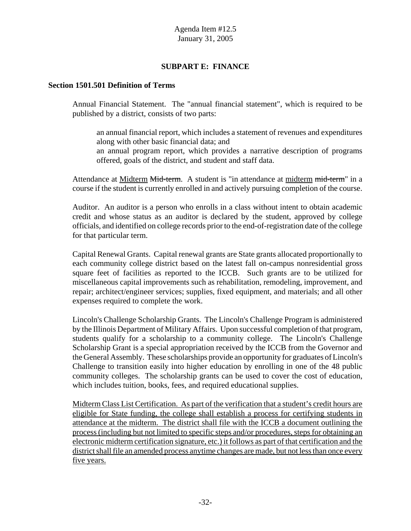# **SUBPART E: FINANCE**

#### **Section 1501.501 Definition of Terms**

Annual Financial Statement. The "annual financial statement", which is required to be published by a district, consists of two parts:

an annual financial report, which includes a statement of revenues and expenditures along with other basic financial data; and

an annual program report, which provides a narrative description of programs offered, goals of the district, and student and staff data.

Attendance at Midterm Mid-term. A student is "in attendance at midterm mid-term" in a course if the student is currently enrolled in and actively pursuing completion of the course.

Auditor. An auditor is a person who enrolls in a class without intent to obtain academic credit and whose status as an auditor is declared by the student, approved by college officials, and identified on college records prior to the end-of-registration date of the college for that particular term.

Capital Renewal Grants. Capital renewal grants are State grants allocated proportionally to each community college district based on the latest fall on-campus nonresidential gross square feet of facilities as reported to the ICCB. Such grants are to be utilized for miscellaneous capital improvements such as rehabilitation, remodeling, improvement, and repair; architect/engineer services; supplies, fixed equipment, and materials; and all other expenses required to complete the work.

Lincoln's Challenge Scholarship Grants. The Lincoln's Challenge Program is administered by the Illinois Department of Military Affairs. Upon successful completion of that program, students qualify for a scholarship to a community college. The Lincoln's Challenge Scholarship Grant is a special appropriation received by the ICCB from the Governor and the General Assembly. These scholarships provide an opportunity for graduates of Lincoln's Challenge to transition easily into higher education by enrolling in one of the 48 public community colleges. The scholarship grants can be used to cover the cost of education, which includes tuition, books, fees, and required educational supplies.

Midterm Class List Certification. As part of the verification that a student's credit hours are eligible for State funding, the college shall establish a process for certifying students in attendance at the midterm. The district shall file with the ICCB a document outlining the process (including but not limited to specific steps and/or procedures, steps for obtaining an electronic midterm certification signature, etc.) it follows as part of that certification and the district shall file an amended process anytime changes are made, but not less than once every five years.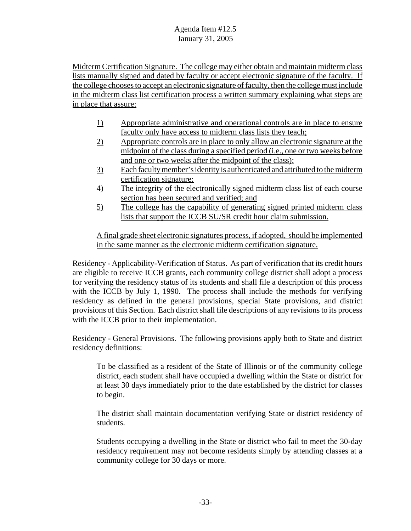Midterm Certification Signature. The college may either obtain and maintain midterm class lists manually signed and dated by faculty or accept electronic signature of the faculty. If the college chooses to accept an electronic signature of faculty, then the college must include in the midterm class list certification process a written summary explaining what steps are in place that assure:

- 1) Appropriate administrative and operational controls are in place to ensure faculty only have access to midterm class lists they teach;
- 2) Appropriate controls are in place to only allow an electronic signature at the midpoint of the class during a specified period (i.e., one or two weeks before and one or two weeks after the midpoint of the class);
- 3) Each faculty member's identity is authenticated and attributed to the midterm certification signature;
- 4) The integrity of the electronically signed midterm class list of each course section has been secured and verified; and
- 5) The college has the capability of generating signed printed midterm class lists that support the ICCB SU/SR credit hour claim submission.

A final grade sheet electronic signatures process, if adopted, should be implemented in the same manner as the electronic midterm certification signature.

Residency - Applicability-Verification of Status. As part of verification that its credit hours are eligible to receive ICCB grants, each community college district shall adopt a process for verifying the residency status of its students and shall file a description of this process with the ICCB by July 1, 1990. The process shall include the methods for verifying residency as defined in the general provisions, special State provisions, and district provisions of this Section. Each district shall file descriptions of any revisions to its process with the ICCB prior to their implementation.

Residency - General Provisions. The following provisions apply both to State and district residency definitions:

To be classified as a resident of the State of Illinois or of the community college district, each student shall have occupied a dwelling within the State or district for at least 30 days immediately prior to the date established by the district for classes to begin.

The district shall maintain documentation verifying State or district residency of students.

Students occupying a dwelling in the State or district who fail to meet the 30-day residency requirement may not become residents simply by attending classes at a community college for 30 days or more.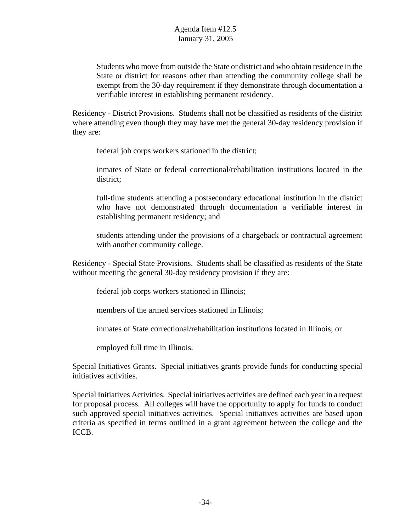Students who move from outside the State or district and who obtain residence in the State or district for reasons other than attending the community college shall be exempt from the 30-day requirement if they demonstrate through documentation a verifiable interest in establishing permanent residency.

Residency - District Provisions. Students shall not be classified as residents of the district where attending even though they may have met the general 30-day residency provision if they are:

federal job corps workers stationed in the district;

inmates of State or federal correctional/rehabilitation institutions located in the district;

full-time students attending a postsecondary educational institution in the district who have not demonstrated through documentation a verifiable interest in establishing permanent residency; and

students attending under the provisions of a chargeback or contractual agreement with another community college.

Residency - Special State Provisions. Students shall be classified as residents of the State without meeting the general 30-day residency provision if they are:

federal job corps workers stationed in Illinois;

members of the armed services stationed in Illinois;

inmates of State correctional/rehabilitation institutions located in Illinois; or

employed full time in Illinois.

Special Initiatives Grants. Special initiatives grants provide funds for conducting special initiatives activities.

Special Initiatives Activities. Special initiatives activities are defined each year in a request for proposal process. All colleges will have the opportunity to apply for funds to conduct such approved special initiatives activities. Special initiatives activities are based upon criteria as specified in terms outlined in a grant agreement between the college and the ICCB.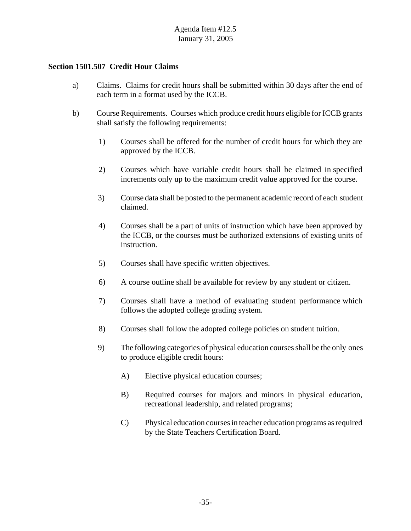#### **Section 1501.507 Credit Hour Claims**

- a) Claims. Claims for credit hours shall be submitted within 30 days after the end of each term in a format used by the ICCB.
- b) Course Requirements. Courses which produce credit hours eligible for ICCB grants shall satisfy the following requirements:
	- 1) Courses shall be offered for the number of credit hours for which they are approved by the ICCB.
	- 2) Courses which have variable credit hours shall be claimed in specified increments only up to the maximum credit value approved for the course.
	- 3) Course data shall be posted to the permanent academic record of each student claimed.
	- 4) Courses shall be a part of units of instruction which have been approved by the ICCB, or the courses must be authorized extensions of existing units of instruction.
	- 5) Courses shall have specific written objectives.
	- 6) A course outline shall be available for review by any student or citizen.
	- 7) Courses shall have a method of evaluating student performance which follows the adopted college grading system.
	- 8) Courses shall follow the adopted college policies on student tuition.
	- 9) The following categories of physical education courses shall be the only ones to produce eligible credit hours:
		- A) Elective physical education courses;
		- B) Required courses for majors and minors in physical education, recreational leadership, and related programs;
		- C) Physical education courses in teacher education programs as required by the State Teachers Certification Board.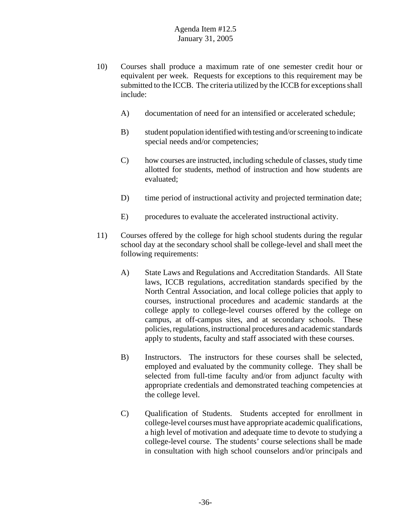- 10) Courses shall produce a maximum rate of one semester credit hour or equivalent per week. Requests for exceptions to this requirement may be submitted to the ICCB. The criteria utilized by the ICCB for exceptions shall include:
	- A) documentation of need for an intensified or accelerated schedule;
	- B) student population identified with testing and/or screening to indicate special needs and/or competencies;
	- C) how courses are instructed, including schedule of classes, study time allotted for students, method of instruction and how students are evaluated;
	- D) time period of instructional activity and projected termination date;
	- E) procedures to evaluate the accelerated instructional activity.
- 11) Courses offered by the college for high school students during the regular school day at the secondary school shall be college-level and shall meet the following requirements:
	- A) State Laws and Regulations and Accreditation Standards. All State laws, ICCB regulations, accreditation standards specified by the North Central Association, and local college policies that apply to courses, instructional procedures and academic standards at the college apply to college-level courses offered by the college on campus, at off-campus sites, and at secondary schools. These policies, regulations, instructional procedures and academic standards apply to students, faculty and staff associated with these courses.
	- B) Instructors. The instructors for these courses shall be selected, employed and evaluated by the community college. They shall be selected from full-time faculty and/or from adjunct faculty with appropriate credentials and demonstrated teaching competencies at the college level.
	- C) Qualification of Students. Students accepted for enrollment in college-level courses must have appropriate academic qualifications, a high level of motivation and adequate time to devote to studying a college-level course. The students' course selections shall be made in consultation with high school counselors and/or principals and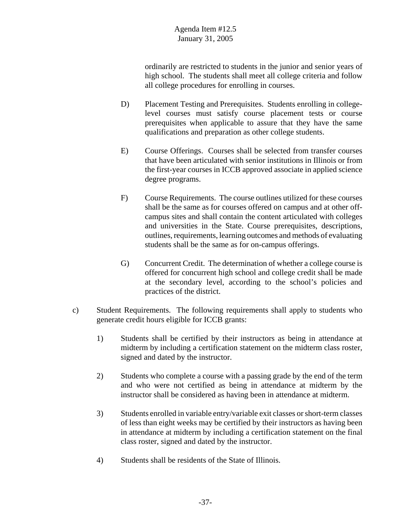ordinarily are restricted to students in the junior and senior years of high school. The students shall meet all college criteria and follow all college procedures for enrolling in courses.

- D) Placement Testing and Prerequisites. Students enrolling in collegelevel courses must satisfy course placement tests or course prerequisites when applicable to assure that they have the same qualifications and preparation as other college students.
- E) Course Offerings. Courses shall be selected from transfer courses that have been articulated with senior institutions in Illinois or from the first-year courses in ICCB approved associate in applied science degree programs.
- F) Course Requirements. The course outlines utilized for these courses shall be the same as for courses offered on campus and at other offcampus sites and shall contain the content articulated with colleges and universities in the State. Course prerequisites, descriptions, outlines, requirements, learning outcomes and methods of evaluating students shall be the same as for on-campus offerings.
- G) Concurrent Credit. The determination of whether a college course is offered for concurrent high school and college credit shall be made at the secondary level, according to the school's policies and practices of the district.
- c) Student Requirements. The following requirements shall apply to students who generate credit hours eligible for ICCB grants:
	- 1) Students shall be certified by their instructors as being in attendance at midterm by including a certification statement on the midterm class roster, signed and dated by the instructor.
	- 2) Students who complete a course with a passing grade by the end of the term and who were not certified as being in attendance at midterm by the instructor shall be considered as having been in attendance at midterm.
	- 3) Students enrolled in variable entry/variable exit classes or short-term classes of less than eight weeks may be certified by their instructors as having been in attendance at midterm by including a certification statement on the final class roster, signed and dated by the instructor.
	- 4) Students shall be residents of the State of Illinois.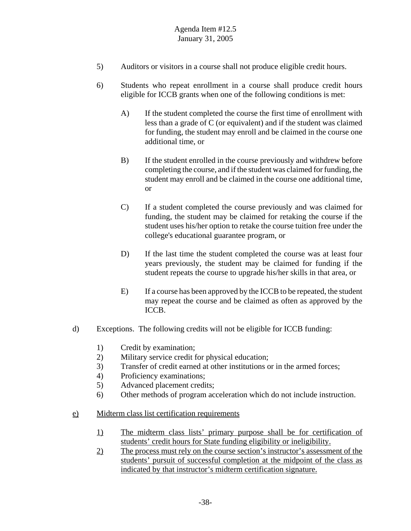- 5) Auditors or visitors in a course shall not produce eligible credit hours.
- 6) Students who repeat enrollment in a course shall produce credit hours eligible for ICCB grants when one of the following conditions is met:
	- A) If the student completed the course the first time of enrollment with less than a grade of C (or equivalent) and if the student was claimed for funding, the student may enroll and be claimed in the course one additional time, or
	- B) If the student enrolled in the course previously and withdrew before completing the course, and if the student was claimed for funding, the student may enroll and be claimed in the course one additional time, or
	- C) If a student completed the course previously and was claimed for funding, the student may be claimed for retaking the course if the student uses his/her option to retake the course tuition free under the college's educational guarantee program, or
	- D) If the last time the student completed the course was at least four years previously, the student may be claimed for funding if the student repeats the course to upgrade his/her skills in that area, or
	- E) If a course has been approved by the ICCB to be repeated, the student may repeat the course and be claimed as often as approved by the ICCB.
- d) Exceptions. The following credits will not be eligible for ICCB funding:
	- 1) Credit by examination;
	- 2) Military service credit for physical education;
	- 3) Transfer of credit earned at other institutions or in the armed forces;
	- 4) Proficiency examinations;
	- 5) Advanced placement credits;
	- 6) Other methods of program acceleration which do not include instruction.
- e) Midterm class list certification requirements
	- 1) The midterm class lists' primary purpose shall be for certification of students' credit hours for State funding eligibility or ineligibility.
	- 2) The process must rely on the course section's instructor's assessment of the students' pursuit of successful completion at the midpoint of the class as indicated by that instructor's midterm certification signature.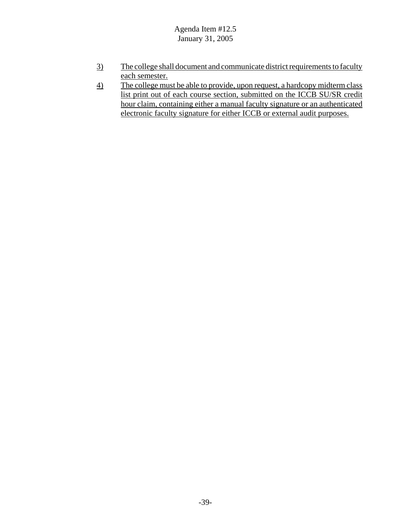- 3) The college shall document and communicate district requirements to faculty each semester.
- 4) The college must be able to provide, upon request, a hardcopy midterm class list print out of each course section, submitted on the ICCB SU/SR credit hour claim, containing either a manual faculty signature or an authenticated electronic faculty signature for either ICCB or external audit purposes.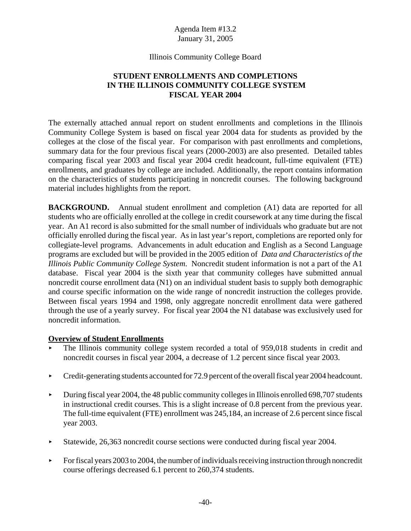#### Illinois Community College Board

# **STUDENT ENROLLMENTS AND COMPLETIONS IN THE ILLINOIS COMMUNITY COLLEGE SYSTEM FISCAL YEAR 2004**

The externally attached annual report on student enrollments and completions in the Illinois Community College System is based on fiscal year 2004 data for students as provided by the colleges at the close of the fiscal year. For comparison with past enrollments and completions, summary data for the four previous fiscal years (2000-2003) are also presented. Detailed tables comparing fiscal year 2003 and fiscal year 2004 credit headcount, full-time equivalent (FTE) enrollments, and graduates by college are included. Additionally, the report contains information on the characteristics of students participating in noncredit courses. The following background material includes highlights from the report.

**BACKGROUND.** Annual student enrollment and completion (A1) data are reported for all students who are officially enrolled at the college in credit coursework at any time during the fiscal year. An A1 record is also submitted for the small number of individuals who graduate but are not officially enrolled during the fiscal year. As in last year's report, completions are reported only for collegiate-level programs. Advancements in adult education and English as a Second Language programs are excluded but will be provided in the 2005 edition of *Data and Characteristics of the Illinois Public Community College System*. Noncredit student information is not a part of the A1 database. Fiscal year 2004 is the sixth year that community colleges have submitted annual noncredit course enrollment data (N1) on an individual student basis to supply both demographic and course specific information on the wide range of noncredit instruction the colleges provide. Between fiscal years 1994 and 1998, only aggregate noncredit enrollment data were gathered through the use of a yearly survey. For fiscal year 2004 the N1 database was exclusively used for noncredit information.

## **Overview of Student Enrollments**

- < The Illinois community college system recorded a total of 959,018 students in credit and noncredit courses in fiscal year 2004, a decrease of 1.2 percent since fiscal year 2003.
- redit-generating students accounted for 72.9 percent of the overall fiscal year 2004 headcount.
- $\blacktriangleright$  During fiscal year 2004, the 48 public community colleges in Illinois enrolled 698,707 students in instructional credit courses. This is a slight increase of 0.8 percent from the previous year. The full-time equivalent (FTE) enrollment was 245,184, an increase of 2.6 percent since fiscal year 2003.
- Statewide, 26,363 noncredit course sections were conducted during fiscal year 2004.
- $\blacktriangleright$  For fiscal years 2003 to 2004, the number of individuals receiving instruction through noncredit course offerings decreased 6.1 percent to 260,374 students.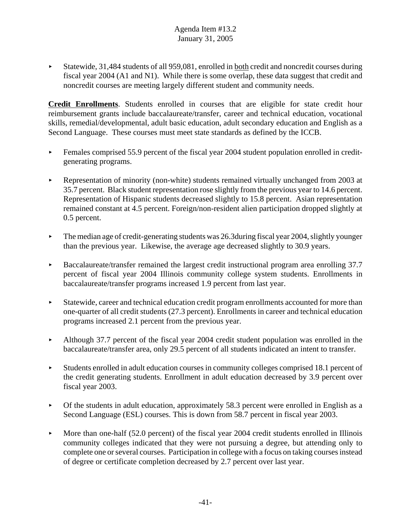< Statewide, 31,484 students of all 959,081, enrolled in both credit and noncredit courses during fiscal year 2004 (A1 and N1). While there is some overlap, these data suggest that credit and noncredit courses are meeting largely different student and community needs.

**Credit Enrollments**. Students enrolled in courses that are eligible for state credit hour reimbursement grants include baccalaureate/transfer, career and technical education, vocational skills, remedial/developmental, adult basic education, adult secondary education and English as a Second Language. These courses must meet state standards as defined by the ICCB.

- Females comprised 55.9 percent of the fiscal year 2004 student population enrolled in creditgenerating programs.
- < Representation of minority (non-white) students remained virtually unchanged from 2003 at 35.7 percent. Black student representation rose slightly from the previous year to 14.6 percent. Representation of Hispanic students decreased slightly to 15.8 percent. Asian representation remained constant at 4.5 percent. Foreign/non-resident alien participation dropped slightly at 0.5 percent.
- $\blacktriangleright$  The median age of credit-generating students was 26.3during fiscal year 2004, slightly younger than the previous year. Likewise, the average age decreased slightly to 30.9 years.
- < Baccalaureate/transfer remained the largest credit instructional program area enrolling 37.7 percent of fiscal year 2004 Illinois community college system students. Enrollments in baccalaureate/transfer programs increased 1.9 percent from last year.
- Statewide, career and technical education credit program enrollments accounted for more than one-quarter of all credit students (27.3 percent). Enrollments in career and technical education programs increased 2.1 percent from the previous year.
- Although 37.7 percent of the fiscal year 2004 credit student population was enrolled in the baccalaureate/transfer area, only 29.5 percent of all students indicated an intent to transfer.
- $\blacktriangleright$  Students enrolled in adult education courses in community colleges comprised 18.1 percent of the credit generating students. Enrollment in adult education decreased by 3.9 percent over fiscal year 2003.
- $\triangleright$  Of the students in adult education, approximately 58.3 percent were enrolled in English as a Second Language (ESL) courses. This is down from 58.7 percent in fiscal year 2003.
- $\blacktriangleright$  More than one-half (52.0 percent) of the fiscal year 2004 credit students enrolled in Illinois community colleges indicated that they were not pursuing a degree, but attending only to complete one or several courses. Participation in college with a focus on taking courses instead of degree or certificate completion decreased by 2.7 percent over last year.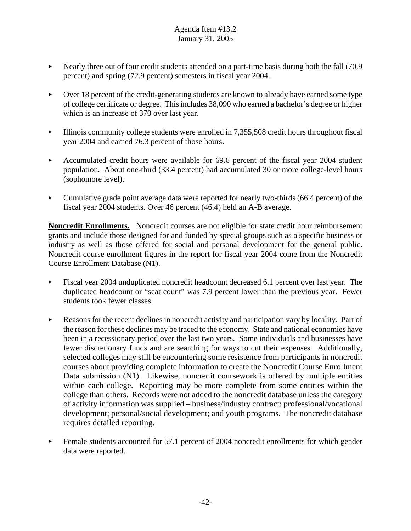- Nearly three out of four credit students attended on a part-time basis during both the fall  $(70.9$ percent) and spring (72.9 percent) semesters in fiscal year 2004.
- < Over 18 percent of the credit-generating students are known to already have earned some type of college certificate or degree. This includes 38,090 who earned a bachelor's degree or higher which is an increase of 370 over last year.
- $\blacktriangleright$  Illinois community college students were enrolled in 7,355,508 credit hours throughout fiscal year 2004 and earned 76.3 percent of those hours.
- Accumulated credit hours were available for 69.6 percent of the fiscal year 2004 student population. About one-third (33.4 percent) had accumulated 30 or more college-level hours (sophomore level).
- < Cumulative grade point average data were reported for nearly two-thirds (66.4 percent) of the fiscal year 2004 students. Over 46 percent (46.4) held an A-B average.

**Noncredit Enrollments.** Noncredit courses are not eligible for state credit hour reimbursement grants and include those designed for and funded by special groups such as a specific business or industry as well as those offered for social and personal development for the general public. Noncredit course enrollment figures in the report for fiscal year 2004 come from the Noncredit Course Enrollment Database (N1).

- < Fiscal year 2004 unduplicated noncredit headcount decreased 6.1 percent over last year. The duplicated headcount or "seat count" was 7.9 percent lower than the previous year. Fewer students took fewer classes.
- $\blacktriangleright$  Reasons for the recent declines in noncredit activity and participation vary by locality. Part of the reason for these declines may be traced to the economy. State and national economies have been in a recessionary period over the last two years. Some individuals and businesses have fewer discretionary funds and are searching for ways to cut their expenses. Additionally, selected colleges may still be encountering some resistence from participants in noncredit courses about providing complete information to create the Noncredit Course Enrollment Data submission (N1). Likewise, noncredit coursework is offered by multiple entities within each college. Reporting may be more complete from some entities within the college than others. Records were not added to the noncredit database unless the category of activity information was supplied – business/industry contract; professional/vocational development; personal/social development; and youth programs. The noncredit database requires detailed reporting.
- Female students accounted for 57.1 percent of 2004 noncredit enrollments for which gender data were reported.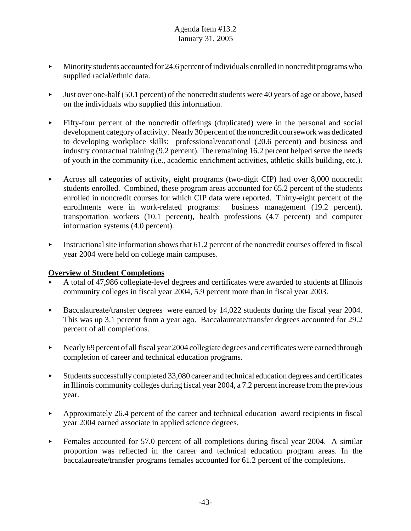- $\blacktriangleright$  Minority students accounted for 24.6 percent of individuals enrolled in noncredit programs who supplied racial/ethnic data.
- < Just over one-half (50.1 percent) of the noncredit students were 40 years of age or above, based on the individuals who supplied this information.
- $\blacktriangleright$  Fifty-four percent of the noncredit offerings (duplicated) were in the personal and social development category of activity. Nearly 30 percent of the noncredit coursework was dedicated to developing workplace skills: professional/vocational (20.6 percent) and business and industry contractual training (9.2 percent). The remaining 16.2 percent helped serve the needs of youth in the community (i.e., academic enrichment activities, athletic skills building, etc.).
- < Across all categories of activity, eight programs (two-digit CIP) had over 8,000 noncredit students enrolled. Combined, these program areas accounted for 65.2 percent of the students enrolled in noncredit courses for which CIP data were reported. Thirty-eight percent of the enrollments were in work-related programs: business management (19.2 percent), transportation workers (10.1 percent), health professions (4.7 percent) and computer information systems (4.0 percent).
- $\blacktriangleright$  Instructional site information shows that 61.2 percent of the noncredit courses offered in fiscal year 2004 were held on college main campuses.

## **Overview of Student Completions**

- < A total of 47,986 collegiate-level degrees and certificates were awarded to students at Illinois community colleges in fiscal year 2004, 5.9 percent more than in fiscal year 2003.
- Baccalaureate/transfer degrees were earned by  $14,022$  students during the fiscal year 2004. This was up 3.1 percent from a year ago. Baccalaureate/transfer degrees accounted for 29.2 percent of all completions.
- $\blacktriangleright$  Nearly 69 percent of all fiscal year 2004 collegiate degrees and certificates were earned through completion of career and technical education programs.
- $\blacktriangleright$  Students successfully completed 33,080 career and technical education degrees and certificates in Illinois community colleges during fiscal year 2004, a 7.2 percent increase from the previous year.
- Approximately 26.4 percent of the career and technical education award recipients in fiscal year 2004 earned associate in applied science degrees.
- $\blacktriangleright$  Females accounted for 57.0 percent of all completions during fiscal year 2004. A similar proportion was reflected in the career and technical education program areas. In the baccalaureate/transfer programs females accounted for 61.2 percent of the completions.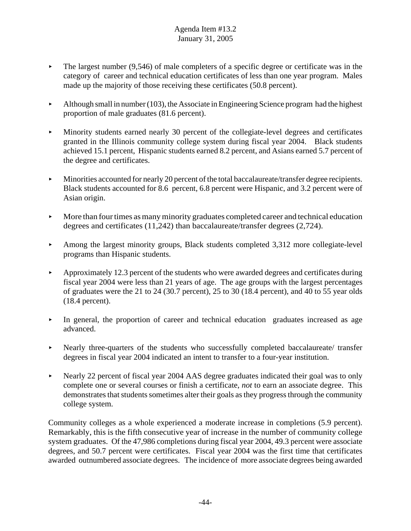- $\blacktriangleright$  The largest number (9,546) of male completers of a specific degree or certificate was in the category of career and technical education certificates of less than one year program. Males made up the majority of those receiving these certificates (50.8 percent).
- $\blacktriangleright$  Although small in number (103), the Associate in Engineering Science program had the highest proportion of male graduates (81.6 percent).
- Minority students earned nearly 30 percent of the collegiate-level degrees and certificates granted in the Illinois community college system during fiscal year 2004. Black students achieved 15.1 percent, Hispanic students earned 8.2 percent, and Asians earned 5.7 percent of the degree and certificates.
- $\blacktriangleright$  Minorities accounted for nearly 20 percent of the total baccalaureate/transfer degree recipients. Black students accounted for 8.6 percent, 6.8 percent were Hispanic, and 3.2 percent were of Asian origin.
- $\blacktriangleright$  More than four times as many minority graduates completed career and technical education degrees and certificates (11,242) than baccalaureate/transfer degrees (2,724).
- $\blacktriangleright$  Among the largest minority groups, Black students completed 3,312 more collegiate-level programs than Hispanic students.
- $\blacktriangleright$  Approximately 12.3 percent of the students who were awarded degrees and certificates during fiscal year 2004 were less than 21 years of age. The age groups with the largest percentages of graduates were the 21 to 24 (30.7 percent), 25 to 30 (18.4 percent), and 40 to 55 year olds (18.4 percent).
- In general, the proportion of career and technical education graduates increased as age advanced.
- Nearly three-quarters of the students who successfully completed baccalaureate/ transfer degrees in fiscal year 2004 indicated an intent to transfer to a four-year institution.
- < Nearly 22 percent of fiscal year 2004 AAS degree graduates indicated their goal was to only complete one or several courses or finish a certificate, *not* to earn an associate degree. This demonstrates that students sometimes alter their goals as they progress through the community college system.

Community colleges as a whole experienced a moderate increase in completions (5.9 percent). Remarkably, this is the fifth consecutive year of increase in the number of community college system graduates. Of the 47,986 completions during fiscal year 2004, 49.3 percent were associate degrees, and 50.7 percent were certificates. Fiscal year 2004 was the first time that certificates awarded outnumbered associate degrees. The incidence of more associate degrees being awarded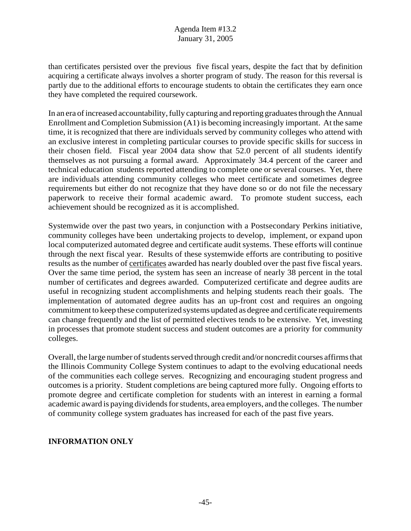than certificates persisted over the previous five fiscal years, despite the fact that by definition acquiring a certificate always involves a shorter program of study. The reason for this reversal is partly due to the additional efforts to encourage students to obtain the certificates they earn once they have completed the required coursework.

In an era of increased accountability, fully capturing and reporting graduates through the Annual Enrollment and Completion Submission (A1) is becoming increasingly important. At the same time, it is recognized that there are individuals served by community colleges who attend with an exclusive interest in completing particular courses to provide specific skills for success in their chosen field. Fiscal year 2004 data show that 52.0 percent of all students identify themselves as not pursuing a formal award. Approximately 34.4 percent of the career and technical education students reported attending to complete one or several courses. Yet, there are individuals attending community colleges who meet certificate and sometimes degree requirements but either do not recognize that they have done so or do not file the necessary paperwork to receive their formal academic award. To promote student success, each achievement should be recognized as it is accomplished.

Systemwide over the past two years, in conjunction with a Postsecondary Perkins initiative, community colleges have been undertaking projects to develop, implement, or expand upon local computerized automated degree and certificate audit systems. These efforts will continue through the next fiscal year. Results of these systemwide efforts are contributing to positive results as the number of certificates awarded has nearly doubled over the past five fiscal years. Over the same time period, the system has seen an increase of nearly 38 percent in the total number of certificates and degrees awarded. Computerized certificate and degree audits are useful in recognizing student accomplishments and helping students reach their goals. The implementation of automated degree audits has an up-front cost and requires an ongoing commitment to keep these computerized systems updated as degree and certificate requirements can change frequently and the list of permitted electives tends to be extensive. Yet, investing in processes that promote student success and student outcomes are a priority for community colleges.

Overall, the large number of students served through credit and/or noncredit courses affirms that the Illinois Community College System continues to adapt to the evolving educational needs of the communities each college serves. Recognizing and encouraging student progress and outcomes is a priority. Student completions are being captured more fully. Ongoing efforts to promote degree and certificate completion for students with an interest in earning a formal academic award is paying dividends for students, area employers, and the colleges. The number of community college system graduates has increased for each of the past five years.

## **INFORMATION ONLY**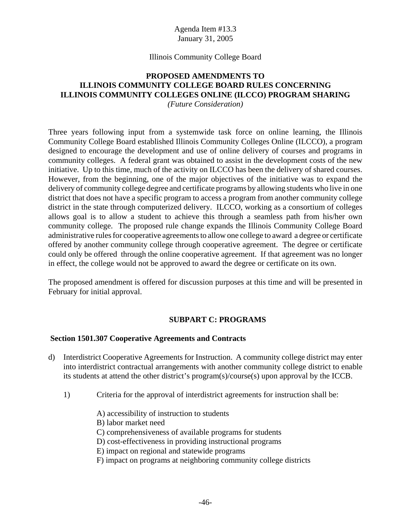#### Illinois Community College Board

# **PROPOSED AMENDMENTS TO ILLINOIS COMMUNITY COLLEGE BOARD RULES CONCERNING ILLINOIS COMMUNITY COLLEGES ONLINE (ILCCO) PROGRAM SHARING**

*(Future Consideration)*

Three years following input from a systemwide task force on online learning, the Illinois Community College Board established Illinois Community Colleges Online (ILCCO), a program designed to encourage the development and use of online delivery of courses and programs in community colleges. A federal grant was obtained to assist in the development costs of the new initiative. Up to this time, much of the activity on ILCCO has been the delivery of shared courses. However, from the beginning, one of the major objectives of the initiative was to expand the delivery of community college degree and certificate programs by allowing students who live in one district that does not have a specific program to access a program from another community college district in the state through computerized delivery. ILCCO, working as a consortium of colleges allows goal is to allow a student to achieve this through a seamless path from his/her own community college. The proposed rule change expands the Illinois Community College Board administrative rules for cooperative agreements to allow one college to award a degree or certificate offered by another community college through cooperative agreement. The degree or certificate could only be offered through the online cooperative agreement. If that agreement was no longer in effect, the college would not be approved to award the degree or certificate on its own.

The proposed amendment is offered for discussion purposes at this time and will be presented in February for initial approval.

## **SUBPART C: PROGRAMS**

#### **Section 1501.307 Cooperative Agreements and Contracts**

- d) Interdistrict Cooperative Agreements for Instruction. A community college district may enter into interdistrict contractual arrangements with another community college district to enable its students at attend the other district's program(s)/course(s) upon approval by the ICCB.
	- 1) Criteria for the approval of interdistrict agreements for instruction shall be:
		- A) accessibility of instruction to students
		- B) labor market need
		- C) comprehensiveness of available programs for students
		- D) cost-effectiveness in providing instructional programs
		- E) impact on regional and statewide programs
		- F) impact on programs at neighboring community college districts